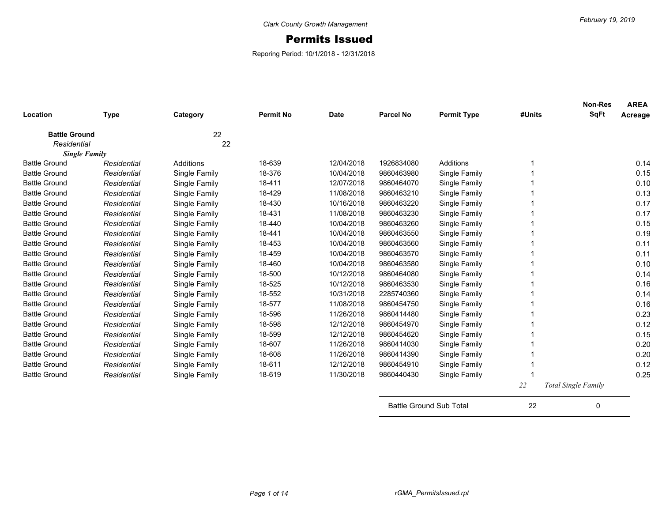## Permits Issued

Reporing Period: 10/1/2018 - 12/31/2018

| Location                            | <b>Type</b>          | Category      | <b>Permit No</b> | <b>Date</b> | <b>Parcel No</b> | <b>Permit Type</b> | #Units | <b>Non-Res</b><br><b>SqFt</b> | <b>AREA</b><br>Acreage |
|-------------------------------------|----------------------|---------------|------------------|-------------|------------------|--------------------|--------|-------------------------------|------------------------|
| <b>Battle Ground</b><br>Residential |                      | 22<br>22      |                  |             |                  |                    |        |                               |                        |
|                                     | <b>Single Family</b> |               |                  |             |                  |                    |        |                               |                        |
| <b>Battle Ground</b>                | Residential          | Additions     | 18-639           | 12/04/2018  | 1926834080       | Additions          |        |                               | 0.14                   |
| <b>Battle Ground</b>                | Residential          | Single Family | 18-376           | 10/04/2018  | 9860463980       | Single Family      |        |                               | 0.15                   |
| <b>Battle Ground</b>                | Residential          | Single Family | 18-411           | 12/07/2018  | 9860464070       | Single Family      |        |                               | 0.10                   |
| <b>Battle Ground</b>                | Residential          | Single Family | 18-429           | 11/08/2018  | 9860463210       | Single Family      |        |                               | 0.13                   |
| <b>Battle Ground</b>                | Residential          | Single Family | 18-430           | 10/16/2018  | 9860463220       | Single Family      |        |                               | 0.17                   |
| <b>Battle Ground</b>                | Residential          | Single Family | 18-431           | 11/08/2018  | 9860463230       | Single Family      |        |                               | 0.17                   |
| <b>Battle Ground</b>                | Residential          | Single Family | 18-440           | 10/04/2018  | 9860463260       | Single Family      |        |                               | 0.15                   |
| <b>Battle Ground</b>                | Residential          | Single Family | 18-441           | 10/04/2018  | 9860463550       | Single Family      |        |                               | 0.19                   |
| <b>Battle Ground</b>                | Residential          | Single Family | 18-453           | 10/04/2018  | 9860463560       | Single Family      |        |                               | 0.11                   |
| <b>Battle Ground</b>                | Residential          | Single Family | 18-459           | 10/04/2018  | 9860463570       | Single Family      |        |                               | 0.11                   |
| <b>Battle Ground</b>                | Residential          | Single Family | 18-460           | 10/04/2018  | 9860463580       | Single Family      |        |                               | 0.10                   |
| <b>Battle Ground</b>                | Residential          | Single Family | 18-500           | 10/12/2018  | 9860464080       | Single Family      |        |                               | 0.14                   |
| <b>Battle Ground</b>                | Residential          | Single Family | 18-525           | 10/12/2018  | 9860463530       | Single Family      |        |                               | 0.16                   |
| <b>Battle Ground</b>                | Residential          | Single Family | 18-552           | 10/31/2018  | 2285740360       | Single Family      |        |                               | 0.14                   |
| <b>Battle Ground</b>                | Residential          | Single Family | 18-577           | 11/08/2018  | 9860454750       | Single Family      |        |                               | 0.16                   |
| <b>Battle Ground</b>                | Residential          | Single Family | 18-596           | 11/26/2018  | 9860414480       | Single Family      |        |                               | 0.23                   |
| <b>Battle Ground</b>                | Residential          | Single Family | 18-598           | 12/12/2018  | 9860454970       | Single Family      |        |                               | 0.12                   |
| <b>Battle Ground</b>                | Residential          | Single Family | 18-599           | 12/12/2018  | 9860454620       | Single Family      |        |                               | 0.15                   |
| <b>Battle Ground</b>                | Residential          | Single Family | 18-607           | 11/26/2018  | 9860414030       | Single Family      |        |                               | 0.20                   |
| <b>Battle Ground</b>                | Residential          | Single Family | 18-608           | 11/26/2018  | 9860414390       | Single Family      |        |                               | 0.20                   |
| <b>Battle Ground</b>                | Residential          | Single Family | 18-611           | 12/12/2018  | 9860454910       | Single Family      |        |                               | 0.12                   |
| <b>Battle Ground</b>                | Residential          | Single Family | 18-619           | 11/30/2018  | 9860440430       | Single Family      |        |                               | 0.25                   |
|                                     |                      |               |                  |             |                  |                    | 22     | <b>Total Single Family</b>    |                        |

Battle Ground Sub Total 22 0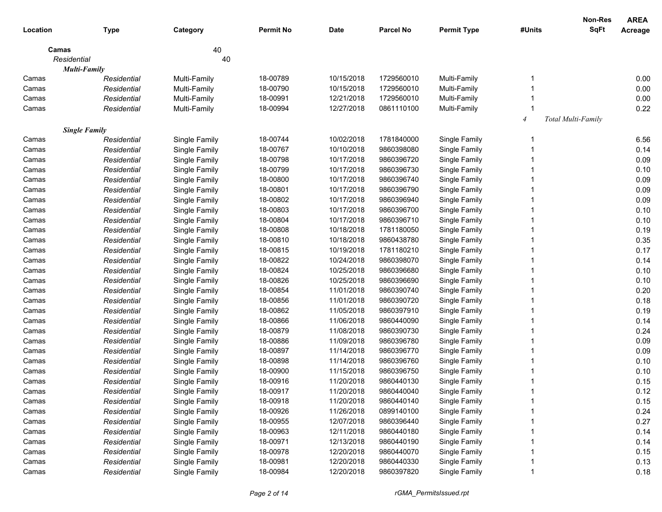|             |                      |               |                  |             |            |                    |                | Non-Res            | <b>AREA</b> |
|-------------|----------------------|---------------|------------------|-------------|------------|--------------------|----------------|--------------------|-------------|
| Location    | <b>Type</b>          | Category      | <b>Permit No</b> | <b>Date</b> | Parcel No  | <b>Permit Type</b> | #Units         | <b>SqFt</b>        | Acreage     |
| Camas       |                      | 40            |                  |             |            |                    |                |                    |             |
| Residential |                      | 40            |                  |             |            |                    |                |                    |             |
|             | Multi-Family         |               |                  |             |            |                    |                |                    |             |
| Camas       | Residential          | Multi-Family  | 18-00789         | 10/15/2018  | 1729560010 | Multi-Family       |                |                    | 0.00        |
| Camas       | Residential          | Multi-Family  | 18-00790         | 10/15/2018  | 1729560010 | Multi-Family       |                |                    | 0.00        |
| Camas       | Residential          | Multi-Family  | 18-00991         | 12/21/2018  | 1729560010 | Multi-Family       |                |                    | 0.00        |
| Camas       | Residential          | Multi-Family  | 18-00994         | 12/27/2018  | 0861110100 | Multi-Family       |                |                    | 0.22        |
|             |                      |               |                  |             |            |                    | $\overline{4}$ | Total Multi-Family |             |
|             | <b>Single Family</b> |               |                  |             |            |                    |                |                    |             |
| Camas       | Residential          | Single Family | 18-00744         | 10/02/2018  | 1781840000 | Single Family      |                |                    | 6.56        |
| Camas       | Residential          | Single Family | 18-00767         | 10/10/2018  | 9860398080 | Single Family      |                |                    | 0.14        |
| Camas       | Residential          | Single Family | 18-00798         | 10/17/2018  | 9860396720 | Single Family      |                |                    | 0.09        |
| Camas       | Residential          | Single Family | 18-00799         | 10/17/2018  | 9860396730 | Single Family      |                |                    | 0.10        |
| Camas       | Residential          | Single Family | 18-00800         | 10/17/2018  | 9860396740 | Single Family      |                |                    | 0.09        |
| Camas       | Residential          | Single Family | 18-00801         | 10/17/2018  | 9860396790 | Single Family      |                |                    | 0.09        |
| Camas       | Residential          | Single Family | 18-00802         | 10/17/2018  | 9860396940 | Single Family      |                |                    | 0.09        |
| Camas       | Residential          | Single Family | 18-00803         | 10/17/2018  | 9860396700 | Single Family      |                |                    | 0.10        |
| Camas       | Residential          | Single Family | 18-00804         | 10/17/2018  | 9860396710 | Single Family      |                |                    | 0.10        |
| Camas       | Residential          | Single Family | 18-00808         | 10/18/2018  | 1781180050 | Single Family      |                |                    | 0.19        |
| Camas       | Residential          | Single Family | 18-00810         | 10/18/2018  | 9860438780 | Single Family      |                |                    | 0.35        |
| Camas       | Residential          | Single Family | 18-00815         | 10/19/2018  | 1781180210 | Single Family      |                |                    | 0.17        |
| Camas       | Residential          | Single Family | 18-00822         | 10/24/2018  | 9860398070 | Single Family      |                |                    | 0.14        |
| Camas       | Residential          | Single Family | 18-00824         | 10/25/2018  | 9860396680 | Single Family      |                |                    | 0.10        |
| Camas       | Residential          | Single Family | 18-00826         | 10/25/2018  | 9860396690 | Single Family      |                |                    | 0.10        |
| Camas       | Residential          | Single Family | 18-00854         | 11/01/2018  | 9860390740 | Single Family      |                |                    | 0.20        |
| Camas       | Residential          | Single Family | 18-00856         | 11/01/2018  | 9860390720 | Single Family      |                |                    | 0.18        |
| Camas       | Residential          | Single Family | 18-00862         | 11/05/2018  | 9860397910 | Single Family      |                |                    | 0.19        |
| Camas       | Residential          | Single Family | 18-00866         | 11/06/2018  | 9860440090 | Single Family      |                |                    | 0.14        |
| Camas       | Residential          | Single Family | 18-00879         | 11/08/2018  | 9860390730 | Single Family      |                |                    | 0.24        |
| Camas       | Residential          | Single Family | 18-00886         | 11/09/2018  | 9860396780 | Single Family      |                |                    | 0.09        |
| Camas       | Residential          | Single Family | 18-00897         | 11/14/2018  | 9860396770 | Single Family      |                |                    | 0.09        |
| Camas       | Residential          | Single Family | 18-00898         | 11/14/2018  | 9860396760 | Single Family      |                |                    | 0.10        |
| Camas       | Residential          | Single Family | 18-00900         | 11/15/2018  | 9860396750 | Single Family      |                |                    | 0.10        |
| Camas       | Residential          | Single Family | 18-00916         | 11/20/2018  | 9860440130 | Single Family      |                |                    | 0.15        |
| Camas       | Residential          | Single Family | 18-00917         | 11/20/2018  | 9860440040 | Single Family      |                |                    | 0.12        |
| Camas       | Residential          | Single Family | 18-00918         | 11/20/2018  | 9860440140 | Single Family      |                |                    | 0.15        |
| Camas       | Residential          | Single Family | 18-00926         | 11/26/2018  | 0899140100 | Single Family      |                |                    | 0.24        |
| Camas       | Residential          | Single Family | 18-00955         | 12/07/2018  | 9860396440 | Single Family      |                |                    | 0.27        |
| Camas       | Residential          | Single Family | 18-00963         | 12/11/2018  | 9860440180 | Single Family      |                |                    | 0.14        |
| Camas       | Residential          | Single Family | 18-00971         | 12/13/2018  | 9860440190 | Single Family      |                |                    | 0.14        |
| Camas       | Residential          | Single Family | 18-00978         | 12/20/2018  | 9860440070 | Single Family      |                |                    | 0.15        |
| Camas       | Residential          | Single Family | 18-00981         | 12/20/2018  | 9860440330 | Single Family      |                |                    | 0.13        |
| Camas       | Residential          | Single Family | 18-00984         | 12/20/2018  | 9860397820 | Single Family      |                |                    | 0.18        |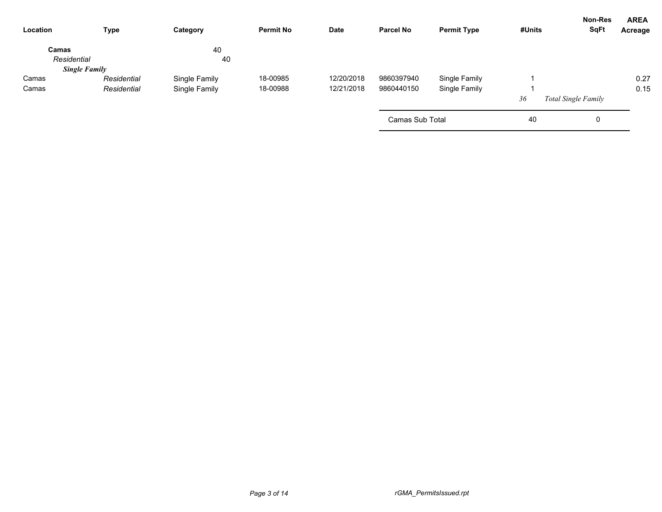| Type                 | Category      | <b>Permit No</b> | <b>Date</b> | <b>Parcel No</b> | <b>Permit Type</b> | #Units          | <b>SqFt</b> | <b>AREA</b><br>Acreage                |
|----------------------|---------------|------------------|-------------|------------------|--------------------|-----------------|-------------|---------------------------------------|
|                      | 40            |                  |             |                  |                    |                 |             |                                       |
|                      |               |                  |             |                  |                    |                 |             |                                       |
| <b>Single Family</b> |               |                  |             |                  |                    |                 |             |                                       |
| Residential          | Single Family | 18-00985         | 12/20/2018  | 9860397940       | Single Family      |                 |             | 0.27                                  |
| Residential          | Single Family | 18-00988         | 12/21/2018  | 9860440150       | Single Family      |                 |             | 0.15                                  |
|                      |               |                  |             |                  |                    | 36              |             |                                       |
|                      |               |                  |             |                  |                    | 40              | 0           |                                       |
|                      |               | 40               |             |                  |                    | Camas Sub Total |             | Non-Res<br><b>Total Single Family</b> |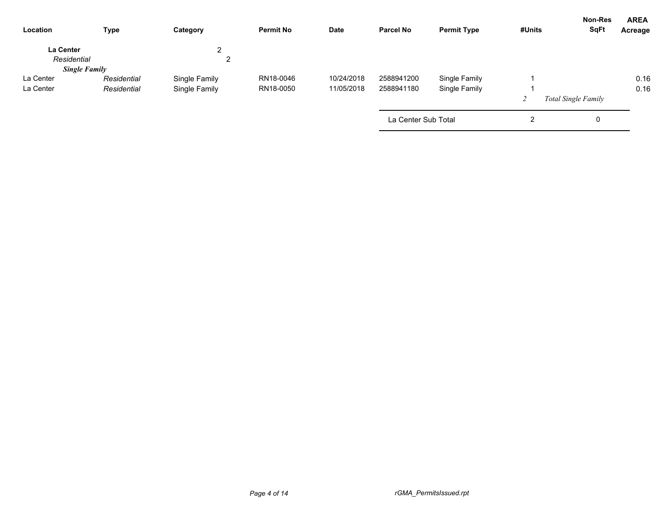| Location                        | <b>Type</b>          | Category      | <b>Permit No</b> | <b>Date</b> | <b>Parcel No</b>    | <b>Permit Type</b> | #Units | Non-Res<br><b>SqFt</b>     | <b>AREA</b><br>Acreage |
|---------------------------------|----------------------|---------------|------------------|-------------|---------------------|--------------------|--------|----------------------------|------------------------|
| <b>La Center</b><br>Residential |                      | ົ<br>∠<br>∠   |                  |             |                     |                    |        |                            |                        |
|                                 | <b>Single Family</b> |               |                  |             |                     |                    |        |                            |                        |
| La Center                       | Residential          | Single Family | RN18-0046        | 10/24/2018  | 2588941200          | Single Family      |        |                            | 0.16                   |
| La Center                       | Residential          | Single Family | RN18-0050        | 11/05/2018  | 2588941180          | Single Family      |        |                            | 0.16                   |
|                                 |                      |               |                  |             |                     |                    |        | <b>Total Single Family</b> |                        |
|                                 |                      |               |                  |             | La Center Sub Total |                    | 2      | 0                          |                        |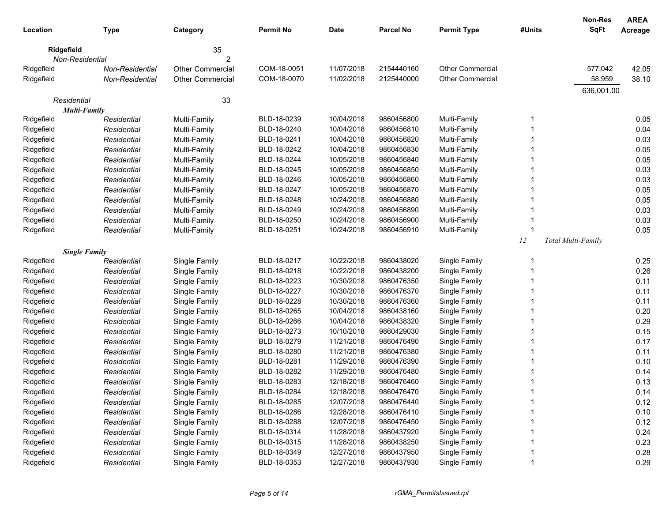| Location    | <b>Type</b>          | Category                | <b>Permit No</b> | <b>Date</b> | <b>Parcel No</b> | <b>Permit Type</b>      | #Units | <b>Non-Res</b><br>SqFt | <b>AREA</b><br>Acreage |
|-------------|----------------------|-------------------------|------------------|-------------|------------------|-------------------------|--------|------------------------|------------------------|
| Ridgefield  |                      | 35                      |                  |             |                  |                         |        |                        |                        |
|             | Non-Residential      | 2                       |                  |             |                  |                         |        |                        |                        |
| Ridgefield  | Non-Residential      | <b>Other Commercial</b> | COM-18-0051      | 11/07/2018  | 2154440160       | <b>Other Commercial</b> |        | 577,042                | 42.05                  |
| Ridgefield  | Non-Residential      | <b>Other Commercial</b> | COM-18-0070      | 11/02/2018  | 2125440000       | <b>Other Commercial</b> |        | 58,959                 | 38.10                  |
| Residential |                      |                         |                  |             |                  |                         |        | 636,001.00             |                        |
|             | <b>Multi-Family</b>  | 33                      |                  |             |                  |                         |        |                        |                        |
| Ridgefield  | Residential          | Multi-Family            | BLD-18-0239      | 10/04/2018  | 9860456800       | Multi-Family            | 1      |                        | 0.05                   |
| Ridgefield  | Residential          | Multi-Family            | BLD-18-0240      | 10/04/2018  | 9860456810       | Multi-Family            |        |                        | 0.04                   |
| Ridgefield  | Residential          | Multi-Family            | BLD-18-0241      | 10/04/2018  | 9860456820       | Multi-Family            |        |                        | 0.03                   |
| Ridgefield  | Residential          | Multi-Family            | BLD-18-0242      | 10/04/2018  | 9860456830       | Multi-Family            |        |                        | 0.05                   |
| Ridgefield  | Residential          | Multi-Family            | BLD-18-0244      | 10/05/2018  | 9860456840       | Multi-Family            |        |                        | 0.05                   |
| Ridgefield  | Residential          | Multi-Family            | BLD-18-0245      | 10/05/2018  | 9860456850       | Multi-Family            |        |                        | 0.03                   |
| Ridgefield  | Residential          | Multi-Family            | BLD-18-0246      | 10/05/2018  | 9860456860       | Multi-Family            |        |                        | 0.03                   |
| Ridgefield  | Residential          | Multi-Family            | BLD-18-0247      | 10/05/2018  | 9860456870       | Multi-Family            |        |                        | 0.05                   |
| Ridgefield  | Residential          | Multi-Family            | BLD-18-0248      | 10/24/2018  | 9860456880       | Multi-Family            |        |                        | 0.05                   |
| Ridgefield  | Residential          | Multi-Family            | BLD-18-0249      | 10/24/2018  | 9860456890       | Multi-Family            |        |                        | 0.03                   |
| Ridgefield  | Residential          | Multi-Family            | BLD-18-0250      | 10/24/2018  | 9860456900       | Multi-Family            | 1      |                        | 0.03                   |
| Ridgefield  | Residential          | Multi-Family            | BLD-18-0251      | 10/24/2018  | 9860456910       | Multi-Family            | 1      |                        | 0.05                   |
|             |                      |                         |                  |             |                  |                         | 12     | Total Multi-Family     |                        |
|             | <b>Single Family</b> |                         |                  |             |                  |                         |        |                        |                        |
| Ridgefield  | Residential          | Single Family           | BLD-18-0217      | 10/22/2018  | 9860438020       | Single Family           | 1      |                        | 0.25                   |
| Ridgefield  | Residential          | Single Family           | BLD-18-0218      | 10/22/2018  | 9860438200       | Single Family           |        |                        | 0.26                   |
| Ridgefield  | Residential          | Single Family           | BLD-18-0223      | 10/30/2018  | 9860476350       | Single Family           |        |                        | 0.11                   |
| Ridgefield  | Residential          | Single Family           | BLD-18-0227      | 10/30/2018  | 9860476370       | Single Family           |        |                        | 0.11                   |
| Ridgefield  | Residential          | Single Family           | BLD-18-0228      | 10/30/2018  | 9860476360       | Single Family           |        |                        | 0.11                   |
| Ridgefield  | Residential          | Single Family           | BLD-18-0265      | 10/04/2018  | 9860438160       | Single Family           |        |                        | 0.20                   |
| Ridgefield  | Residential          | Single Family           | BLD-18-0266      | 10/04/2018  | 9860438320       | Single Family           |        |                        | 0.29                   |
| Ridgefield  | Residential          | Single Family           | BLD-18-0273      | 10/10/2018  | 9860429030       | Single Family           |        |                        | 0.15                   |
| Ridgefield  | Residential          | Single Family           | BLD-18-0279      | 11/21/2018  | 9860476490       | Single Family           |        |                        | 0.17                   |
| Ridgefield  | Residential          | Single Family           | BLD-18-0280      | 11/21/2018  | 9860476380       | Single Family           |        |                        | 0.11                   |
| Ridgefield  | Residential          | Single Family           | BLD-18-0281      | 11/29/2018  | 9860476390       | Single Family           |        |                        | 0.10                   |
| Ridgefield  | Residential          | Single Family           | BLD-18-0282      | 11/29/2018  | 9860476480       | Single Family           |        |                        | 0.14                   |
| Ridgefield  | Residential          | Single Family           | BLD-18-0283      | 12/18/2018  | 9860476460       | Single Family           | 1      |                        | 0.13                   |
| Ridgefield  | Residential          | Single Family           | BLD-18-0284      | 12/18/2018  | 9860476470       | Single Family           |        |                        | 0.14                   |
| Ridgefield  | Residential          | Single Family           | BLD-18-0285      | 12/07/2018  | 9860476440       | Single Family           |        |                        | 0.12                   |
| Ridgefield  | Residential          | Single Family           | BLD-18-0286      | 12/28/2018  | 9860476410       | Single Family           |        |                        | 0.10                   |
| Ridgefield  | Residential          | Single Family           | BLD-18-0288      | 12/07/2018  | 9860476450       | Single Family           |        |                        | 0.12                   |
| Ridgefield  | Residential          | Single Family           | BLD-18-0314      | 11/28/2018  | 9860437920       | Single Family           |        |                        | 0.24                   |
| Ridgefield  | Residential          | Single Family           | BLD-18-0315      | 11/28/2018  | 9860438250       | Single Family           |        |                        | 0.23                   |
| Ridgefield  | Residential          | Single Family           | BLD-18-0349      | 12/27/2018  | 9860437950       | Single Family           |        |                        | 0.28                   |
| Ridgefield  | Residential          | Single Family           | BLD-18-0353      | 12/27/2018  | 9860437930       | Single Family           | 1      |                        | 0.29                   |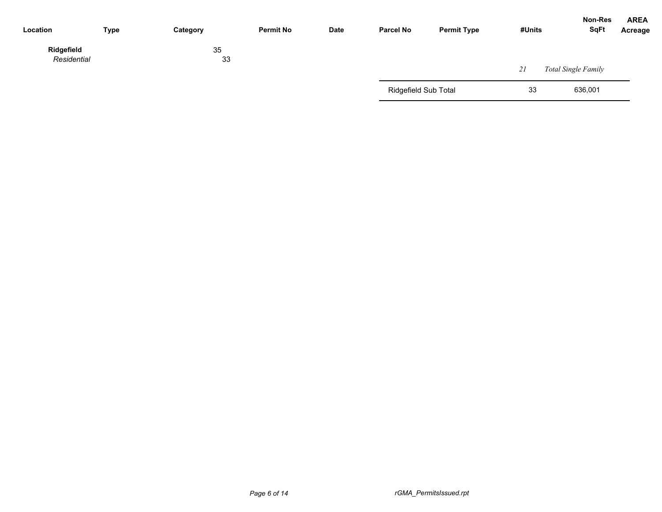| Location                  | <b>Type</b> | Category | <b>Permit No</b> | Date | <b>Parcel No</b>            | <b>Permit Type</b> | #Units | Non-Res<br><b>SqFt</b> | <b>AREA</b><br>Acreage |
|---------------------------|-------------|----------|------------------|------|-----------------------------|--------------------|--------|------------------------|------------------------|
| Ridgefield<br>Residential |             | 35<br>33 |                  |      |                             |                    | 21     | Total Single Family    |                        |
|                           |             |          |                  |      | <b>Ridgefield Sub Total</b> |                    | 33     | 636,001                |                        |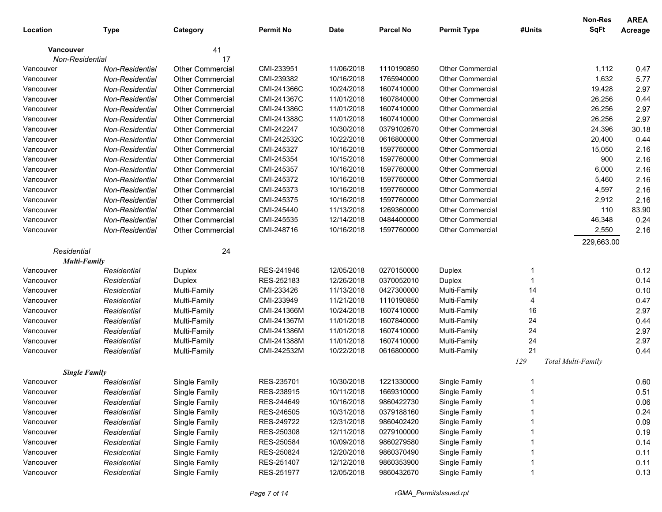|                      |                 |                         |                  |             |                  |                         |        | Non-Res            | <b>AREA</b> |
|----------------------|-----------------|-------------------------|------------------|-------------|------------------|-------------------------|--------|--------------------|-------------|
| Location             | <b>Type</b>     | Category                | <b>Permit No</b> | <b>Date</b> | <b>Parcel No</b> | <b>Permit Type</b>      | #Units | <b>SqFt</b>        | Acreage     |
| <b>Vancouver</b>     |                 | 41                      |                  |             |                  |                         |        |                    |             |
| Non-Residential      |                 | 17                      |                  |             |                  |                         |        |                    |             |
| Vancouver            | Non-Residential | Other Commercial        | CMI-233951       | 11/06/2018  | 1110190850       | <b>Other Commercial</b> |        | 1,112              | 0.47        |
| Vancouver            | Non-Residential | <b>Other Commercial</b> | CMI-239382       | 10/16/2018  | 1765940000       | <b>Other Commercial</b> |        | 1,632              | 5.77        |
| Vancouver            | Non-Residential | <b>Other Commercial</b> | CMI-241366C      | 10/24/2018  | 1607410000       | <b>Other Commercial</b> |        | 19,428             | 2.97        |
| Vancouver            | Non-Residential | <b>Other Commercial</b> | CMI-241367C      | 11/01/2018  | 1607840000       | <b>Other Commercial</b> |        | 26,256             | 0.44        |
| Vancouver            | Non-Residential | <b>Other Commercial</b> | CMI-241386C      | 11/01/2018  | 1607410000       | <b>Other Commercial</b> |        | 26,256             | 2.97        |
| Vancouver            | Non-Residential | <b>Other Commercial</b> | CMI-241388C      | 11/01/2018  | 1607410000       | <b>Other Commercial</b> |        | 26,256             | 2.97        |
| Vancouver            | Non-Residential | <b>Other Commercial</b> | CMI-242247       | 10/30/2018  | 0379102670       | <b>Other Commercial</b> |        | 24,396             | 30.18       |
| Vancouver            | Non-Residential | <b>Other Commercial</b> | CMI-242532C      | 10/22/2018  | 0616800000       | <b>Other Commercial</b> |        | 20,400             | 0.44        |
| Vancouver            | Non-Residential | <b>Other Commercial</b> | CMI-245327       | 10/16/2018  | 1597760000       | <b>Other Commercial</b> |        | 15,050             | 2.16        |
| Vancouver            | Non-Residential | <b>Other Commercial</b> | CMI-245354       | 10/15/2018  | 1597760000       | <b>Other Commercial</b> |        | 900                | 2.16        |
| Vancouver            | Non-Residential | <b>Other Commercial</b> | CMI-245357       | 10/16/2018  | 1597760000       | <b>Other Commercial</b> |        | 6,000              | 2.16        |
| Vancouver            | Non-Residential | <b>Other Commercial</b> | CMI-245372       | 10/16/2018  | 1597760000       | <b>Other Commercial</b> |        | 5,460              | 2.16        |
| Vancouver            | Non-Residential | <b>Other Commercial</b> | CMI-245373       | 10/16/2018  | 1597760000       | <b>Other Commercial</b> |        | 4,597              | 2.16        |
| Vancouver            | Non-Residential | <b>Other Commercial</b> | CMI-245375       | 10/16/2018  | 1597760000       | <b>Other Commercial</b> |        | 2,912              | 2.16        |
| Vancouver            | Non-Residential | <b>Other Commercial</b> | CMI-245440       | 11/13/2018  | 1269360000       | <b>Other Commercial</b> |        | 110                | 83.90       |
| Vancouver            | Non-Residential | <b>Other Commercial</b> | CMI-245535       | 12/14/2018  | 0484400000       | <b>Other Commercial</b> |        | 46,348             | 0.24        |
| Vancouver            | Non-Residential | <b>Other Commercial</b> | CMI-248716       | 10/16/2018  | 1597760000       | Other Commercial        |        | 2,550              | 2.16        |
|                      |                 |                         |                  |             |                  |                         |        | 229,663.00         |             |
| Residential          |                 | 24                      |                  |             |                  |                         |        |                    |             |
| <b>Multi-Family</b>  |                 |                         |                  |             |                  |                         |        |                    |             |
| Vancouver            | Residential     | Duplex                  | RES-241946       | 12/05/2018  | 0270150000       | Duplex                  | 1      |                    | 0.12        |
| Vancouver            | Residential     | Duplex                  | RES-252183       | 12/26/2018  | 0370052010       | Duplex                  | 1      |                    | 0.14        |
| Vancouver            | Residential     | Multi-Family            | CMI-233426       | 11/13/2018  | 0427300000       | Multi-Family            | 14     |                    | 0.10        |
| Vancouver            | Residential     | Multi-Family            | CMI-233949       | 11/21/2018  | 1110190850       | Multi-Family            | 4      |                    | 0.47        |
| Vancouver            | Residential     | Multi-Family            | CMI-241366M      | 10/24/2018  | 1607410000       | Multi-Family            | 16     |                    | 2.97        |
| Vancouver            | Residential     | Multi-Family            | CMI-241367M      | 11/01/2018  | 1607840000       | Multi-Family            | 24     |                    | 0.44        |
| Vancouver            | Residential     | Multi-Family            | CMI-241386M      | 11/01/2018  | 1607410000       | Multi-Family            | 24     |                    | 2.97        |
| Vancouver            | Residential     | Multi-Family            | CMI-241388M      | 11/01/2018  | 1607410000       | Multi-Family            | 24     |                    | 2.97        |
| Vancouver            | Residential     | Multi-Family            | CMI-242532M      | 10/22/2018  | 0616800000       | Multi-Family            | 21     |                    | 0.44        |
|                      |                 |                         |                  |             |                  |                         | 129    | Total Multi-Family |             |
| <b>Single Family</b> |                 |                         |                  |             |                  |                         |        |                    |             |
| Vancouver            | Residential     | Single Family           | RES-235701       | 10/30/2018  | 1221330000       | Single Family           |        |                    | 0.60        |
| Vancouver            | Residential     | Single Family           | RES-238915       | 10/11/2018  | 1669310000       | Single Family           |        |                    | 0.51        |
| Vancouver            | Residential     | Single Family           | RES-244649       | 10/16/2018  | 9860422730       | Single Family           |        |                    | 0.06        |
| Vancouver            | Residential     | Single Family           | RES-246505       | 10/31/2018  | 0379188160       | Single Family           |        |                    | 0.24        |
| Vancouver            | Residential     | Single Family           | RES-249722       | 12/31/2018  | 9860402420       | Single Family           |        |                    | 0.09        |
| Vancouver            | Residential     | Single Family           | RES-250308       | 12/11/2018  | 0279100000       | Single Family           |        |                    | 0.19        |
| Vancouver            | Residential     | Single Family           | RES-250584       | 10/09/2018  | 9860279580       | Single Family           |        |                    | 0.14        |
| Vancouver            | Residential     | Single Family           | RES-250824       | 12/20/2018  | 9860370490       | Single Family           |        |                    | 0.11        |
| Vancouver            | Residential     | Single Family           | RES-251407       | 12/12/2018  | 9860353900       | Single Family           |        |                    | 0.11        |
| Vancouver            | Residential     | Single Family           | RES-251977       | 12/05/2018  | 9860432670       | Single Family           |        |                    | 0.13        |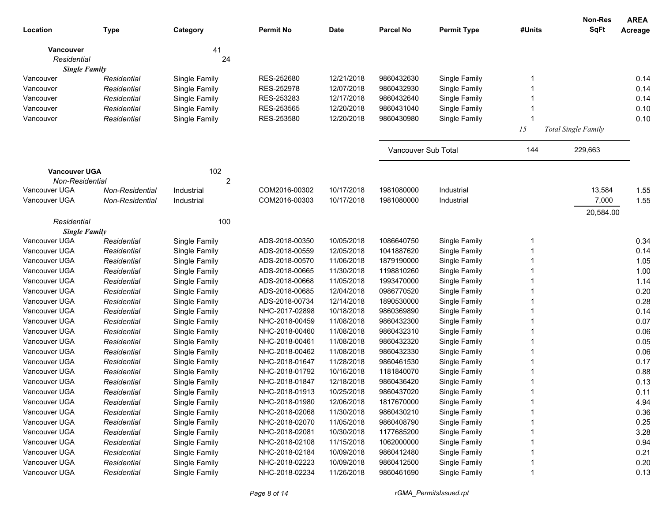|                      |                 |                |                  |             |                     |                    |        | Non-Res                    | <b>AREA</b> |
|----------------------|-----------------|----------------|------------------|-------------|---------------------|--------------------|--------|----------------------------|-------------|
| Location             | <b>Type</b>     | Category       | <b>Permit No</b> | <b>Date</b> | <b>Parcel No</b>    | <b>Permit Type</b> | #Units | <b>SqFt</b>                | Acreage     |
| <b>Vancouver</b>     |                 | 41             |                  |             |                     |                    |        |                            |             |
| Residential          |                 | 24             |                  |             |                     |                    |        |                            |             |
| <b>Single Family</b> |                 |                |                  |             |                     |                    |        |                            |             |
| Vancouver            | Residential     | Single Family  | RES-252680       | 12/21/2018  | 9860432630          | Single Family      | 1      |                            | 0.14        |
| Vancouver            | Residential     | Single Family  | RES-252978       | 12/07/2018  | 9860432930          | Single Family      |        |                            | 0.14        |
| Vancouver            | Residential     | Single Family  | RES-253283       | 12/17/2018  | 9860432640          | Single Family      |        |                            | 0.14        |
| Vancouver            | Residential     | Single Family  | RES-253565       | 12/20/2018  | 9860431040          | Single Family      |        |                            | 0.10        |
| Vancouver            | Residential     | Single Family  | RES-253580       | 12/20/2018  | 9860430980          | Single Family      | 1      |                            | 0.10        |
|                      |                 |                |                  |             |                     |                    | 15     | <b>Total Single Family</b> |             |
|                      |                 |                |                  |             | Vancouver Sub Total |                    | 144    | 229,663                    |             |
| <b>Vancouver UGA</b> |                 | 102            |                  |             |                     |                    |        |                            |             |
| Non-Residential      |                 | $\overline{2}$ |                  |             |                     |                    |        |                            |             |
| Vancouver UGA        | Non-Residential | Industrial     | COM2016-00302    | 10/17/2018  | 1981080000          | Industrial         |        | 13,584                     | 1.55        |
| Vancouver UGA        | Non-Residential | Industrial     | COM2016-00303    | 10/17/2018  | 1981080000          | Industrial         |        | 7,000                      | 1.55        |
|                      |                 |                |                  |             |                     |                    |        | 20,584.00                  |             |
| Residential          |                 | 100            |                  |             |                     |                    |        |                            |             |
| <b>Single Family</b> |                 |                |                  |             |                     |                    |        |                            |             |
| Vancouver UGA        | Residential     | Single Family  | ADS-2018-00350   | 10/05/2018  | 1086640750          | Single Family      |        |                            | 0.34        |
| Vancouver UGA        | Residential     | Single Family  | ADS-2018-00559   | 12/05/2018  | 1041887620          | Single Family      |        |                            | 0.14        |
| Vancouver UGA        | Residential     | Single Family  | ADS-2018-00570   | 11/06/2018  | 1879190000          | Single Family      |        |                            | 1.05        |
| Vancouver UGA        | Residential     | Single Family  | ADS-2018-00665   | 11/30/2018  | 1198810260          | Single Family      |        |                            | 1.00        |
| Vancouver UGA        | Residential     | Single Family  | ADS-2018-00668   | 11/05/2018  | 1993470000          | Single Family      |        |                            | 1.14        |
| Vancouver UGA        | Residential     | Single Family  | ADS-2018-00685   | 12/04/2018  | 0986770520          | Single Family      |        |                            | 0.20        |
| Vancouver UGA        | Residential     | Single Family  | ADS-2018-00734   | 12/14/2018  | 1890530000          | Single Family      |        |                            | 0.28        |
| Vancouver UGA        | Residential     | Single Family  | NHC-2017-02898   | 10/18/2018  | 9860369890          | Single Family      |        |                            | 0.14        |
| Vancouver UGA        | Residential     | Single Family  | NHC-2018-00459   | 11/08/2018  | 9860432300          | Single Family      |        |                            | 0.07        |
| Vancouver UGA        | Residential     | Single Family  | NHC-2018-00460   | 11/08/2018  | 9860432310          | Single Family      |        |                            | 0.06        |
| Vancouver UGA        | Residential     | Single Family  | NHC-2018-00461   | 11/08/2018  | 9860432320          | Single Family      |        |                            | 0.05        |
| Vancouver UGA        | Residential     | Single Family  | NHC-2018-00462   | 11/08/2018  | 9860432330          | Single Family      |        |                            | 0.06        |
| Vancouver UGA        | Residential     | Single Family  | NHC-2018-01647   | 11/28/2018  | 9860461530          | Single Family      |        |                            | 0.17        |
| Vancouver UGA        | Residential     | Single Family  | NHC-2018-01792   | 10/16/2018  | 1181840070          | Single Family      |        |                            | 0.88        |
| Vancouver UGA        | Residential     | Single Family  | NHC-2018-01847   | 12/18/2018  | 9860436420          | Single Family      |        |                            | 0.13        |
| Vancouver UGA        | Residential     | Single Family  | NHC-2018-01913   | 10/25/2018  | 9860437020          | Single Family      |        |                            | 0.11        |
| Vancouver UGA        | Residential     | Single Family  | NHC-2018-01980   | 12/06/2018  | 1817670000          | Single Family      |        |                            | 4.94        |
| Vancouver UGA        | Residential     | Single Family  | NHC-2018-02068   | 11/30/2018  | 9860430210          | Single Family      |        |                            | 0.36        |
| Vancouver UGA        | Residential     | Single Family  | NHC-2018-02070   | 11/05/2018  | 9860408790          | Single Family      |        |                            | 0.25        |
| Vancouver UGA        | Residential     | Single Family  | NHC-2018-02081   | 10/30/2018  | 1177685200          | Single Family      |        |                            | 3.28        |
| Vancouver UGA        | Residential     | Single Family  | NHC-2018-02108   | 11/15/2018  | 1062000000          | Single Family      |        |                            | 0.94        |
| Vancouver UGA        | Residential     | Single Family  | NHC-2018-02184   | 10/09/2018  | 9860412480          | Single Family      |        |                            | 0.21        |
| Vancouver UGA        | Residential     | Single Family  | NHC-2018-02223   | 10/09/2018  | 9860412500          | Single Family      |        |                            | 0.20        |
| Vancouver UGA        | Residential     | Single Family  | NHC-2018-02234   | 11/26/2018  | 9860461690          | Single Family      |        |                            | 0.13        |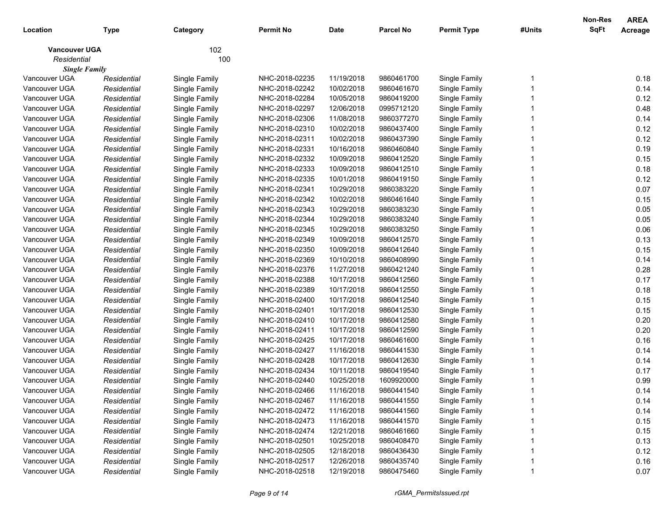| 102<br><b>Vancouver UGA</b><br>Residential<br>100<br><b>Single Family</b><br>Vancouver UGA<br>NHC-2018-02235<br>11/19/2018<br>0.18<br>Single Family<br>9860461700<br>Single Family<br>Residential<br>NHC-2018-02242<br>10/02/2018<br>0.14<br>Vancouver UGA<br>Residential<br>Single Family<br>9860461670<br>Single Family<br>0.12<br>Vancouver UGA<br>NHC-2018-02284<br>10/05/2018<br>9860419200<br>Single Family<br>Residential<br>Single Family<br>0.48<br>Vancouver UGA<br>NHC-2018-02297<br>12/06/2018<br>Residential<br>Single Family<br>0995712120<br>Single Family<br>0.14<br>Vancouver UGA<br>NHC-2018-02306<br>Residential<br>Single Family<br>11/08/2018<br>9860377270<br>Single Family<br>0.12<br>Vancouver UGA<br>NHC-2018-02310<br>Residential<br>Single Family<br>10/02/2018<br>9860437400<br>Single Family<br>0.12<br>Vancouver UGA<br>NHC-2018-02311<br>Residential<br>Single Family<br>10/02/2018<br>9860437390<br>Single Family<br>0.19<br>Vancouver UGA<br>NHC-2018-02331<br>Residential<br>Single Family<br>10/16/2018<br>9860460840<br>Single Family<br>0.15<br>Vancouver UGA<br>NHC-2018-02332<br>Residential<br>Single Family<br>10/09/2018<br>9860412520<br>Single Family<br>Vancouver UGA<br>NHC-2018-02333<br>0.18<br>10/09/2018<br>9860412510<br>Single Family<br>Residential<br>Single Family<br>0.12<br>Vancouver UGA<br>NHC-2018-02335<br>10/01/2018<br>9860419150<br>Single Family<br>Residential<br>Single Family<br>0.07<br>Vancouver UGA<br>Residential<br>Single Family<br>NHC-2018-02341<br>10/29/2018<br>9860383220<br>Single Family<br>0.15<br>Vancouver UGA<br>Residential<br>Single Family<br>NHC-2018-02342<br>10/02/2018<br>9860461640<br>Single Family<br>0.05<br>Vancouver UGA<br>Residential<br>Single Family<br>NHC-2018-02343<br>10/29/2018<br>9860383230<br>Single Family<br>0.05<br>Vancouver UGA<br>Residential<br>Single Family<br>NHC-2018-02344<br>10/29/2018<br>9860383240<br>Single Family<br>0.06<br>Vancouver UGA<br>Residential<br>Single Family<br>NHC-2018-02345<br>10/29/2018<br>9860383250<br>Single Family<br>0.13<br>Vancouver UGA<br>Residential<br>Single Family<br>NHC-2018-02349<br>10/09/2018<br>9860412570<br>Single Family<br>Vancouver UGA<br>0.15<br>NHC-2018-02350<br>10/09/2018<br>9860412640<br>Single Family<br>Residential<br>Single Family<br>Vancouver UGA<br>NHC-2018-02369<br>0.14<br>Residential<br>Single Family<br>10/10/2018<br>9860408990<br>Single Family<br>0.28<br>Vancouver UGA<br>NHC-2018-02376<br>Residential<br>Single Family<br>11/27/2018<br>9860421240<br>Single Family<br>0.17<br>Vancouver UGA<br>Residential<br>Single Family<br>NHC-2018-02388<br>10/17/2018<br>9860412560<br>Single Family<br>0.18<br>Vancouver UGA<br>Residential<br>Single Family<br>NHC-2018-02389<br>10/17/2018<br>9860412550<br>Single Family<br>0.15<br>Vancouver UGA<br>Residential<br>Single Family<br>NHC-2018-02400<br>10/17/2018<br>9860412540<br>Single Family<br>0.15<br>Vancouver UGA<br>Residential<br>Single Family<br>NHC-2018-02401<br>10/17/2018<br>9860412530<br>Single Family<br>Vancouver UGA<br>0.20<br>NHC-2018-02410<br>10/17/2018<br>9860412580<br>Single Family<br>Residential<br>Single Family<br>Vancouver UGA<br>0.20<br>NHC-2018-02411<br>10/17/2018<br>9860412590<br>Single Family<br>Residential<br>Single Family<br>0.16<br>Vancouver UGA<br>NHC-2018-02425<br>10/17/2018<br>Residential<br>Single Family<br>9860461600<br>Single Family<br>Vancouver UGA<br>NHC-2018-02427<br>11/16/2018<br>0.14<br>Residential<br>Single Family<br>9860441530<br>Single Family<br>10/17/2018<br>0.14<br>Vancouver UGA<br>Residential<br>Single Family<br>NHC-2018-02428<br>9860412630<br>Single Family<br>NHC-2018-02434<br>0.17<br>Vancouver UGA<br>Residential<br>Single Family<br>10/11/2018<br>9860419540<br>Single Family<br>0.99<br>Vancouver UGA<br>Single Family<br>NHC-2018-02440<br>10/25/2018<br>1609920000<br>Single Family<br>Residential<br>Vancouver UGA<br>NHC-2018-02466<br>Single Family<br>Residential<br>11/16/2018<br>9860441540<br>Single Family<br>0.14<br>11/16/2018<br>Single Family<br>Vancouver UGA<br>NHC-2018-02467<br>9860441550<br>0.14<br>Residential<br>Single Family<br>Vancouver UGA<br>Single Family<br>11/16/2018<br>Single Family<br>0.14<br>Residential<br>NHC-2018-02472<br>9860441560<br>0.15<br>Vancouver UGA<br>Single Family<br>11/16/2018<br>Single Family<br>Residential<br>NHC-2018-02473<br>9860441570<br>0.15<br>Vancouver UGA<br>Single Family<br>12/21/2018<br>Single Family<br>Residential<br>NHC-2018-02474<br>9860461660<br>0.13<br>Vancouver UGA<br>Single Family<br>10/25/2018<br>Single Family<br>Residential<br>NHC-2018-02501<br>9860408470<br>0.12<br>Vancouver UGA<br>Single Family<br>12/18/2018<br>Single Family<br>Residential<br>NHC-2018-02505<br>9860436430<br>Vancouver UGA<br>Single Family<br>12/26/2018<br>Single Family<br>0.16<br>Residential<br>NHC-2018-02517<br>9860435740<br>Vancouver UGA<br>NHC-2018-02518<br>12/19/2018<br>9860475460 | Location | <b>Type</b> | Category      | <b>Permit No</b> | <b>Date</b> | <b>Parcel No</b> | <b>Permit Type</b> | #Units | <b>Non-Res</b><br><b>SqFt</b> | <b>AREA</b><br>Acreage |
|------------------------------------------------------------------------------------------------------------------------------------------------------------------------------------------------------------------------------------------------------------------------------------------------------------------------------------------------------------------------------------------------------------------------------------------------------------------------------------------------------------------------------------------------------------------------------------------------------------------------------------------------------------------------------------------------------------------------------------------------------------------------------------------------------------------------------------------------------------------------------------------------------------------------------------------------------------------------------------------------------------------------------------------------------------------------------------------------------------------------------------------------------------------------------------------------------------------------------------------------------------------------------------------------------------------------------------------------------------------------------------------------------------------------------------------------------------------------------------------------------------------------------------------------------------------------------------------------------------------------------------------------------------------------------------------------------------------------------------------------------------------------------------------------------------------------------------------------------------------------------------------------------------------------------------------------------------------------------------------------------------------------------------------------------------------------------------------------------------------------------------------------------------------------------------------------------------------------------------------------------------------------------------------------------------------------------------------------------------------------------------------------------------------------------------------------------------------------------------------------------------------------------------------------------------------------------------------------------------------------------------------------------------------------------------------------------------------------------------------------------------------------------------------------------------------------------------------------------------------------------------------------------------------------------------------------------------------------------------------------------------------------------------------------------------------------------------------------------------------------------------------------------------------------------------------------------------------------------------------------------------------------------------------------------------------------------------------------------------------------------------------------------------------------------------------------------------------------------------------------------------------------------------------------------------------------------------------------------------------------------------------------------------------------------------------------------------------------------------------------------------------------------------------------------------------------------------------------------------------------------------------------------------------------------------------------------------------------------------------------------------------------------------------------------------------------------------------------------------------------------------------------------------------------------------------------------------------------------------------------------------------------------------------------------------------------------------------------------------------------------------------------------------------------------------------------------------------------------------------------------------------------------------------------------------------------------------------------------------------------------------------------------------------------------------------------------------------------------------------------------------------------------------------------------------------------------------------------------------------------------------------------------------------------------------------------------------------------------------------------------------------|----------|-------------|---------------|------------------|-------------|------------------|--------------------|--------|-------------------------------|------------------------|
|                                                                                                                                                                                                                                                                                                                                                                                                                                                                                                                                                                                                                                                                                                                                                                                                                                                                                                                                                                                                                                                                                                                                                                                                                                                                                                                                                                                                                                                                                                                                                                                                                                                                                                                                                                                                                                                                                                                                                                                                                                                                                                                                                                                                                                                                                                                                                                                                                                                                                                                                                                                                                                                                                                                                                                                                                                                                                                                                                                                                                                                                                                                                                                                                                                                                                                                                                                                                                                                                                                                                                                                                                                                                                                                                                                                                                                                                                                                                                                                                                                                                                                                                                                                                                                                                                                                                                                                                                                                                                                                                                                                                                                                                                                                                                                                                                                                                                                                                                                                                                  |          |             |               |                  |             |                  |                    |        |                               |                        |
|                                                                                                                                                                                                                                                                                                                                                                                                                                                                                                                                                                                                                                                                                                                                                                                                                                                                                                                                                                                                                                                                                                                                                                                                                                                                                                                                                                                                                                                                                                                                                                                                                                                                                                                                                                                                                                                                                                                                                                                                                                                                                                                                                                                                                                                                                                                                                                                                                                                                                                                                                                                                                                                                                                                                                                                                                                                                                                                                                                                                                                                                                                                                                                                                                                                                                                                                                                                                                                                                                                                                                                                                                                                                                                                                                                                                                                                                                                                                                                                                                                                                                                                                                                                                                                                                                                                                                                                                                                                                                                                                                                                                                                                                                                                                                                                                                                                                                                                                                                                                                  |          |             |               |                  |             |                  |                    |        |                               |                        |
|                                                                                                                                                                                                                                                                                                                                                                                                                                                                                                                                                                                                                                                                                                                                                                                                                                                                                                                                                                                                                                                                                                                                                                                                                                                                                                                                                                                                                                                                                                                                                                                                                                                                                                                                                                                                                                                                                                                                                                                                                                                                                                                                                                                                                                                                                                                                                                                                                                                                                                                                                                                                                                                                                                                                                                                                                                                                                                                                                                                                                                                                                                                                                                                                                                                                                                                                                                                                                                                                                                                                                                                                                                                                                                                                                                                                                                                                                                                                                                                                                                                                                                                                                                                                                                                                                                                                                                                                                                                                                                                                                                                                                                                                                                                                                                                                                                                                                                                                                                                                                  |          |             |               |                  |             |                  |                    |        |                               |                        |
|                                                                                                                                                                                                                                                                                                                                                                                                                                                                                                                                                                                                                                                                                                                                                                                                                                                                                                                                                                                                                                                                                                                                                                                                                                                                                                                                                                                                                                                                                                                                                                                                                                                                                                                                                                                                                                                                                                                                                                                                                                                                                                                                                                                                                                                                                                                                                                                                                                                                                                                                                                                                                                                                                                                                                                                                                                                                                                                                                                                                                                                                                                                                                                                                                                                                                                                                                                                                                                                                                                                                                                                                                                                                                                                                                                                                                                                                                                                                                                                                                                                                                                                                                                                                                                                                                                                                                                                                                                                                                                                                                                                                                                                                                                                                                                                                                                                                                                                                                                                                                  |          |             |               |                  |             |                  |                    |        |                               |                        |
|                                                                                                                                                                                                                                                                                                                                                                                                                                                                                                                                                                                                                                                                                                                                                                                                                                                                                                                                                                                                                                                                                                                                                                                                                                                                                                                                                                                                                                                                                                                                                                                                                                                                                                                                                                                                                                                                                                                                                                                                                                                                                                                                                                                                                                                                                                                                                                                                                                                                                                                                                                                                                                                                                                                                                                                                                                                                                                                                                                                                                                                                                                                                                                                                                                                                                                                                                                                                                                                                                                                                                                                                                                                                                                                                                                                                                                                                                                                                                                                                                                                                                                                                                                                                                                                                                                                                                                                                                                                                                                                                                                                                                                                                                                                                                                                                                                                                                                                                                                                                                  |          |             |               |                  |             |                  |                    |        |                               |                        |
|                                                                                                                                                                                                                                                                                                                                                                                                                                                                                                                                                                                                                                                                                                                                                                                                                                                                                                                                                                                                                                                                                                                                                                                                                                                                                                                                                                                                                                                                                                                                                                                                                                                                                                                                                                                                                                                                                                                                                                                                                                                                                                                                                                                                                                                                                                                                                                                                                                                                                                                                                                                                                                                                                                                                                                                                                                                                                                                                                                                                                                                                                                                                                                                                                                                                                                                                                                                                                                                                                                                                                                                                                                                                                                                                                                                                                                                                                                                                                                                                                                                                                                                                                                                                                                                                                                                                                                                                                                                                                                                                                                                                                                                                                                                                                                                                                                                                                                                                                                                                                  |          |             |               |                  |             |                  |                    |        |                               |                        |
|                                                                                                                                                                                                                                                                                                                                                                                                                                                                                                                                                                                                                                                                                                                                                                                                                                                                                                                                                                                                                                                                                                                                                                                                                                                                                                                                                                                                                                                                                                                                                                                                                                                                                                                                                                                                                                                                                                                                                                                                                                                                                                                                                                                                                                                                                                                                                                                                                                                                                                                                                                                                                                                                                                                                                                                                                                                                                                                                                                                                                                                                                                                                                                                                                                                                                                                                                                                                                                                                                                                                                                                                                                                                                                                                                                                                                                                                                                                                                                                                                                                                                                                                                                                                                                                                                                                                                                                                                                                                                                                                                                                                                                                                                                                                                                                                                                                                                                                                                                                                                  |          |             |               |                  |             |                  |                    |        |                               |                        |
|                                                                                                                                                                                                                                                                                                                                                                                                                                                                                                                                                                                                                                                                                                                                                                                                                                                                                                                                                                                                                                                                                                                                                                                                                                                                                                                                                                                                                                                                                                                                                                                                                                                                                                                                                                                                                                                                                                                                                                                                                                                                                                                                                                                                                                                                                                                                                                                                                                                                                                                                                                                                                                                                                                                                                                                                                                                                                                                                                                                                                                                                                                                                                                                                                                                                                                                                                                                                                                                                                                                                                                                                                                                                                                                                                                                                                                                                                                                                                                                                                                                                                                                                                                                                                                                                                                                                                                                                                                                                                                                                                                                                                                                                                                                                                                                                                                                                                                                                                                                                                  |          |             |               |                  |             |                  |                    |        |                               |                        |
|                                                                                                                                                                                                                                                                                                                                                                                                                                                                                                                                                                                                                                                                                                                                                                                                                                                                                                                                                                                                                                                                                                                                                                                                                                                                                                                                                                                                                                                                                                                                                                                                                                                                                                                                                                                                                                                                                                                                                                                                                                                                                                                                                                                                                                                                                                                                                                                                                                                                                                                                                                                                                                                                                                                                                                                                                                                                                                                                                                                                                                                                                                                                                                                                                                                                                                                                                                                                                                                                                                                                                                                                                                                                                                                                                                                                                                                                                                                                                                                                                                                                                                                                                                                                                                                                                                                                                                                                                                                                                                                                                                                                                                                                                                                                                                                                                                                                                                                                                                                                                  |          |             |               |                  |             |                  |                    |        |                               |                        |
|                                                                                                                                                                                                                                                                                                                                                                                                                                                                                                                                                                                                                                                                                                                                                                                                                                                                                                                                                                                                                                                                                                                                                                                                                                                                                                                                                                                                                                                                                                                                                                                                                                                                                                                                                                                                                                                                                                                                                                                                                                                                                                                                                                                                                                                                                                                                                                                                                                                                                                                                                                                                                                                                                                                                                                                                                                                                                                                                                                                                                                                                                                                                                                                                                                                                                                                                                                                                                                                                                                                                                                                                                                                                                                                                                                                                                                                                                                                                                                                                                                                                                                                                                                                                                                                                                                                                                                                                                                                                                                                                                                                                                                                                                                                                                                                                                                                                                                                                                                                                                  |          |             |               |                  |             |                  |                    |        |                               |                        |
|                                                                                                                                                                                                                                                                                                                                                                                                                                                                                                                                                                                                                                                                                                                                                                                                                                                                                                                                                                                                                                                                                                                                                                                                                                                                                                                                                                                                                                                                                                                                                                                                                                                                                                                                                                                                                                                                                                                                                                                                                                                                                                                                                                                                                                                                                                                                                                                                                                                                                                                                                                                                                                                                                                                                                                                                                                                                                                                                                                                                                                                                                                                                                                                                                                                                                                                                                                                                                                                                                                                                                                                                                                                                                                                                                                                                                                                                                                                                                                                                                                                                                                                                                                                                                                                                                                                                                                                                                                                                                                                                                                                                                                                                                                                                                                                                                                                                                                                                                                                                                  |          |             |               |                  |             |                  |                    |        |                               |                        |
|                                                                                                                                                                                                                                                                                                                                                                                                                                                                                                                                                                                                                                                                                                                                                                                                                                                                                                                                                                                                                                                                                                                                                                                                                                                                                                                                                                                                                                                                                                                                                                                                                                                                                                                                                                                                                                                                                                                                                                                                                                                                                                                                                                                                                                                                                                                                                                                                                                                                                                                                                                                                                                                                                                                                                                                                                                                                                                                                                                                                                                                                                                                                                                                                                                                                                                                                                                                                                                                                                                                                                                                                                                                                                                                                                                                                                                                                                                                                                                                                                                                                                                                                                                                                                                                                                                                                                                                                                                                                                                                                                                                                                                                                                                                                                                                                                                                                                                                                                                                                                  |          |             |               |                  |             |                  |                    |        |                               |                        |
|                                                                                                                                                                                                                                                                                                                                                                                                                                                                                                                                                                                                                                                                                                                                                                                                                                                                                                                                                                                                                                                                                                                                                                                                                                                                                                                                                                                                                                                                                                                                                                                                                                                                                                                                                                                                                                                                                                                                                                                                                                                                                                                                                                                                                                                                                                                                                                                                                                                                                                                                                                                                                                                                                                                                                                                                                                                                                                                                                                                                                                                                                                                                                                                                                                                                                                                                                                                                                                                                                                                                                                                                                                                                                                                                                                                                                                                                                                                                                                                                                                                                                                                                                                                                                                                                                                                                                                                                                                                                                                                                                                                                                                                                                                                                                                                                                                                                                                                                                                                                                  |          |             |               |                  |             |                  |                    |        |                               |                        |
|                                                                                                                                                                                                                                                                                                                                                                                                                                                                                                                                                                                                                                                                                                                                                                                                                                                                                                                                                                                                                                                                                                                                                                                                                                                                                                                                                                                                                                                                                                                                                                                                                                                                                                                                                                                                                                                                                                                                                                                                                                                                                                                                                                                                                                                                                                                                                                                                                                                                                                                                                                                                                                                                                                                                                                                                                                                                                                                                                                                                                                                                                                                                                                                                                                                                                                                                                                                                                                                                                                                                                                                                                                                                                                                                                                                                                                                                                                                                                                                                                                                                                                                                                                                                                                                                                                                                                                                                                                                                                                                                                                                                                                                                                                                                                                                                                                                                                                                                                                                                                  |          |             |               |                  |             |                  |                    |        |                               |                        |
|                                                                                                                                                                                                                                                                                                                                                                                                                                                                                                                                                                                                                                                                                                                                                                                                                                                                                                                                                                                                                                                                                                                                                                                                                                                                                                                                                                                                                                                                                                                                                                                                                                                                                                                                                                                                                                                                                                                                                                                                                                                                                                                                                                                                                                                                                                                                                                                                                                                                                                                                                                                                                                                                                                                                                                                                                                                                                                                                                                                                                                                                                                                                                                                                                                                                                                                                                                                                                                                                                                                                                                                                                                                                                                                                                                                                                                                                                                                                                                                                                                                                                                                                                                                                                                                                                                                                                                                                                                                                                                                                                                                                                                                                                                                                                                                                                                                                                                                                                                                                                  |          |             |               |                  |             |                  |                    |        |                               |                        |
|                                                                                                                                                                                                                                                                                                                                                                                                                                                                                                                                                                                                                                                                                                                                                                                                                                                                                                                                                                                                                                                                                                                                                                                                                                                                                                                                                                                                                                                                                                                                                                                                                                                                                                                                                                                                                                                                                                                                                                                                                                                                                                                                                                                                                                                                                                                                                                                                                                                                                                                                                                                                                                                                                                                                                                                                                                                                                                                                                                                                                                                                                                                                                                                                                                                                                                                                                                                                                                                                                                                                                                                                                                                                                                                                                                                                                                                                                                                                                                                                                                                                                                                                                                                                                                                                                                                                                                                                                                                                                                                                                                                                                                                                                                                                                                                                                                                                                                                                                                                                                  |          |             |               |                  |             |                  |                    |        |                               |                        |
|                                                                                                                                                                                                                                                                                                                                                                                                                                                                                                                                                                                                                                                                                                                                                                                                                                                                                                                                                                                                                                                                                                                                                                                                                                                                                                                                                                                                                                                                                                                                                                                                                                                                                                                                                                                                                                                                                                                                                                                                                                                                                                                                                                                                                                                                                                                                                                                                                                                                                                                                                                                                                                                                                                                                                                                                                                                                                                                                                                                                                                                                                                                                                                                                                                                                                                                                                                                                                                                                                                                                                                                                                                                                                                                                                                                                                                                                                                                                                                                                                                                                                                                                                                                                                                                                                                                                                                                                                                                                                                                                                                                                                                                                                                                                                                                                                                                                                                                                                                                                                  |          |             |               |                  |             |                  |                    |        |                               |                        |
|                                                                                                                                                                                                                                                                                                                                                                                                                                                                                                                                                                                                                                                                                                                                                                                                                                                                                                                                                                                                                                                                                                                                                                                                                                                                                                                                                                                                                                                                                                                                                                                                                                                                                                                                                                                                                                                                                                                                                                                                                                                                                                                                                                                                                                                                                                                                                                                                                                                                                                                                                                                                                                                                                                                                                                                                                                                                                                                                                                                                                                                                                                                                                                                                                                                                                                                                                                                                                                                                                                                                                                                                                                                                                                                                                                                                                                                                                                                                                                                                                                                                                                                                                                                                                                                                                                                                                                                                                                                                                                                                                                                                                                                                                                                                                                                                                                                                                                                                                                                                                  |          |             |               |                  |             |                  |                    |        |                               |                        |
|                                                                                                                                                                                                                                                                                                                                                                                                                                                                                                                                                                                                                                                                                                                                                                                                                                                                                                                                                                                                                                                                                                                                                                                                                                                                                                                                                                                                                                                                                                                                                                                                                                                                                                                                                                                                                                                                                                                                                                                                                                                                                                                                                                                                                                                                                                                                                                                                                                                                                                                                                                                                                                                                                                                                                                                                                                                                                                                                                                                                                                                                                                                                                                                                                                                                                                                                                                                                                                                                                                                                                                                                                                                                                                                                                                                                                                                                                                                                                                                                                                                                                                                                                                                                                                                                                                                                                                                                                                                                                                                                                                                                                                                                                                                                                                                                                                                                                                                                                                                                                  |          |             |               |                  |             |                  |                    |        |                               |                        |
|                                                                                                                                                                                                                                                                                                                                                                                                                                                                                                                                                                                                                                                                                                                                                                                                                                                                                                                                                                                                                                                                                                                                                                                                                                                                                                                                                                                                                                                                                                                                                                                                                                                                                                                                                                                                                                                                                                                                                                                                                                                                                                                                                                                                                                                                                                                                                                                                                                                                                                                                                                                                                                                                                                                                                                                                                                                                                                                                                                                                                                                                                                                                                                                                                                                                                                                                                                                                                                                                                                                                                                                                                                                                                                                                                                                                                                                                                                                                                                                                                                                                                                                                                                                                                                                                                                                                                                                                                                                                                                                                                                                                                                                                                                                                                                                                                                                                                                                                                                                                                  |          |             |               |                  |             |                  |                    |        |                               |                        |
|                                                                                                                                                                                                                                                                                                                                                                                                                                                                                                                                                                                                                                                                                                                                                                                                                                                                                                                                                                                                                                                                                                                                                                                                                                                                                                                                                                                                                                                                                                                                                                                                                                                                                                                                                                                                                                                                                                                                                                                                                                                                                                                                                                                                                                                                                                                                                                                                                                                                                                                                                                                                                                                                                                                                                                                                                                                                                                                                                                                                                                                                                                                                                                                                                                                                                                                                                                                                                                                                                                                                                                                                                                                                                                                                                                                                                                                                                                                                                                                                                                                                                                                                                                                                                                                                                                                                                                                                                                                                                                                                                                                                                                                                                                                                                                                                                                                                                                                                                                                                                  |          |             |               |                  |             |                  |                    |        |                               |                        |
|                                                                                                                                                                                                                                                                                                                                                                                                                                                                                                                                                                                                                                                                                                                                                                                                                                                                                                                                                                                                                                                                                                                                                                                                                                                                                                                                                                                                                                                                                                                                                                                                                                                                                                                                                                                                                                                                                                                                                                                                                                                                                                                                                                                                                                                                                                                                                                                                                                                                                                                                                                                                                                                                                                                                                                                                                                                                                                                                                                                                                                                                                                                                                                                                                                                                                                                                                                                                                                                                                                                                                                                                                                                                                                                                                                                                                                                                                                                                                                                                                                                                                                                                                                                                                                                                                                                                                                                                                                                                                                                                                                                                                                                                                                                                                                                                                                                                                                                                                                                                                  |          |             |               |                  |             |                  |                    |        |                               |                        |
|                                                                                                                                                                                                                                                                                                                                                                                                                                                                                                                                                                                                                                                                                                                                                                                                                                                                                                                                                                                                                                                                                                                                                                                                                                                                                                                                                                                                                                                                                                                                                                                                                                                                                                                                                                                                                                                                                                                                                                                                                                                                                                                                                                                                                                                                                                                                                                                                                                                                                                                                                                                                                                                                                                                                                                                                                                                                                                                                                                                                                                                                                                                                                                                                                                                                                                                                                                                                                                                                                                                                                                                                                                                                                                                                                                                                                                                                                                                                                                                                                                                                                                                                                                                                                                                                                                                                                                                                                                                                                                                                                                                                                                                                                                                                                                                                                                                                                                                                                                                                                  |          |             |               |                  |             |                  |                    |        |                               |                        |
|                                                                                                                                                                                                                                                                                                                                                                                                                                                                                                                                                                                                                                                                                                                                                                                                                                                                                                                                                                                                                                                                                                                                                                                                                                                                                                                                                                                                                                                                                                                                                                                                                                                                                                                                                                                                                                                                                                                                                                                                                                                                                                                                                                                                                                                                                                                                                                                                                                                                                                                                                                                                                                                                                                                                                                                                                                                                                                                                                                                                                                                                                                                                                                                                                                                                                                                                                                                                                                                                                                                                                                                                                                                                                                                                                                                                                                                                                                                                                                                                                                                                                                                                                                                                                                                                                                                                                                                                                                                                                                                                                                                                                                                                                                                                                                                                                                                                                                                                                                                                                  |          |             |               |                  |             |                  |                    |        |                               |                        |
|                                                                                                                                                                                                                                                                                                                                                                                                                                                                                                                                                                                                                                                                                                                                                                                                                                                                                                                                                                                                                                                                                                                                                                                                                                                                                                                                                                                                                                                                                                                                                                                                                                                                                                                                                                                                                                                                                                                                                                                                                                                                                                                                                                                                                                                                                                                                                                                                                                                                                                                                                                                                                                                                                                                                                                                                                                                                                                                                                                                                                                                                                                                                                                                                                                                                                                                                                                                                                                                                                                                                                                                                                                                                                                                                                                                                                                                                                                                                                                                                                                                                                                                                                                                                                                                                                                                                                                                                                                                                                                                                                                                                                                                                                                                                                                                                                                                                                                                                                                                                                  |          |             |               |                  |             |                  |                    |        |                               |                        |
|                                                                                                                                                                                                                                                                                                                                                                                                                                                                                                                                                                                                                                                                                                                                                                                                                                                                                                                                                                                                                                                                                                                                                                                                                                                                                                                                                                                                                                                                                                                                                                                                                                                                                                                                                                                                                                                                                                                                                                                                                                                                                                                                                                                                                                                                                                                                                                                                                                                                                                                                                                                                                                                                                                                                                                                                                                                                                                                                                                                                                                                                                                                                                                                                                                                                                                                                                                                                                                                                                                                                                                                                                                                                                                                                                                                                                                                                                                                                                                                                                                                                                                                                                                                                                                                                                                                                                                                                                                                                                                                                                                                                                                                                                                                                                                                                                                                                                                                                                                                                                  |          |             |               |                  |             |                  |                    |        |                               |                        |
|                                                                                                                                                                                                                                                                                                                                                                                                                                                                                                                                                                                                                                                                                                                                                                                                                                                                                                                                                                                                                                                                                                                                                                                                                                                                                                                                                                                                                                                                                                                                                                                                                                                                                                                                                                                                                                                                                                                                                                                                                                                                                                                                                                                                                                                                                                                                                                                                                                                                                                                                                                                                                                                                                                                                                                                                                                                                                                                                                                                                                                                                                                                                                                                                                                                                                                                                                                                                                                                                                                                                                                                                                                                                                                                                                                                                                                                                                                                                                                                                                                                                                                                                                                                                                                                                                                                                                                                                                                                                                                                                                                                                                                                                                                                                                                                                                                                                                                                                                                                                                  |          |             |               |                  |             |                  |                    |        |                               |                        |
|                                                                                                                                                                                                                                                                                                                                                                                                                                                                                                                                                                                                                                                                                                                                                                                                                                                                                                                                                                                                                                                                                                                                                                                                                                                                                                                                                                                                                                                                                                                                                                                                                                                                                                                                                                                                                                                                                                                                                                                                                                                                                                                                                                                                                                                                                                                                                                                                                                                                                                                                                                                                                                                                                                                                                                                                                                                                                                                                                                                                                                                                                                                                                                                                                                                                                                                                                                                                                                                                                                                                                                                                                                                                                                                                                                                                                                                                                                                                                                                                                                                                                                                                                                                                                                                                                                                                                                                                                                                                                                                                                                                                                                                                                                                                                                                                                                                                                                                                                                                                                  |          |             |               |                  |             |                  |                    |        |                               |                        |
|                                                                                                                                                                                                                                                                                                                                                                                                                                                                                                                                                                                                                                                                                                                                                                                                                                                                                                                                                                                                                                                                                                                                                                                                                                                                                                                                                                                                                                                                                                                                                                                                                                                                                                                                                                                                                                                                                                                                                                                                                                                                                                                                                                                                                                                                                                                                                                                                                                                                                                                                                                                                                                                                                                                                                                                                                                                                                                                                                                                                                                                                                                                                                                                                                                                                                                                                                                                                                                                                                                                                                                                                                                                                                                                                                                                                                                                                                                                                                                                                                                                                                                                                                                                                                                                                                                                                                                                                                                                                                                                                                                                                                                                                                                                                                                                                                                                                                                                                                                                                                  |          |             |               |                  |             |                  |                    |        |                               |                        |
|                                                                                                                                                                                                                                                                                                                                                                                                                                                                                                                                                                                                                                                                                                                                                                                                                                                                                                                                                                                                                                                                                                                                                                                                                                                                                                                                                                                                                                                                                                                                                                                                                                                                                                                                                                                                                                                                                                                                                                                                                                                                                                                                                                                                                                                                                                                                                                                                                                                                                                                                                                                                                                                                                                                                                                                                                                                                                                                                                                                                                                                                                                                                                                                                                                                                                                                                                                                                                                                                                                                                                                                                                                                                                                                                                                                                                                                                                                                                                                                                                                                                                                                                                                                                                                                                                                                                                                                                                                                                                                                                                                                                                                                                                                                                                                                                                                                                                                                                                                                                                  |          |             |               |                  |             |                  |                    |        |                               |                        |
|                                                                                                                                                                                                                                                                                                                                                                                                                                                                                                                                                                                                                                                                                                                                                                                                                                                                                                                                                                                                                                                                                                                                                                                                                                                                                                                                                                                                                                                                                                                                                                                                                                                                                                                                                                                                                                                                                                                                                                                                                                                                                                                                                                                                                                                                                                                                                                                                                                                                                                                                                                                                                                                                                                                                                                                                                                                                                                                                                                                                                                                                                                                                                                                                                                                                                                                                                                                                                                                                                                                                                                                                                                                                                                                                                                                                                                                                                                                                                                                                                                                                                                                                                                                                                                                                                                                                                                                                                                                                                                                                                                                                                                                                                                                                                                                                                                                                                                                                                                                                                  |          |             |               |                  |             |                  |                    |        |                               |                        |
|                                                                                                                                                                                                                                                                                                                                                                                                                                                                                                                                                                                                                                                                                                                                                                                                                                                                                                                                                                                                                                                                                                                                                                                                                                                                                                                                                                                                                                                                                                                                                                                                                                                                                                                                                                                                                                                                                                                                                                                                                                                                                                                                                                                                                                                                                                                                                                                                                                                                                                                                                                                                                                                                                                                                                                                                                                                                                                                                                                                                                                                                                                                                                                                                                                                                                                                                                                                                                                                                                                                                                                                                                                                                                                                                                                                                                                                                                                                                                                                                                                                                                                                                                                                                                                                                                                                                                                                                                                                                                                                                                                                                                                                                                                                                                                                                                                                                                                                                                                                                                  |          |             |               |                  |             |                  |                    |        |                               |                        |
|                                                                                                                                                                                                                                                                                                                                                                                                                                                                                                                                                                                                                                                                                                                                                                                                                                                                                                                                                                                                                                                                                                                                                                                                                                                                                                                                                                                                                                                                                                                                                                                                                                                                                                                                                                                                                                                                                                                                                                                                                                                                                                                                                                                                                                                                                                                                                                                                                                                                                                                                                                                                                                                                                                                                                                                                                                                                                                                                                                                                                                                                                                                                                                                                                                                                                                                                                                                                                                                                                                                                                                                                                                                                                                                                                                                                                                                                                                                                                                                                                                                                                                                                                                                                                                                                                                                                                                                                                                                                                                                                                                                                                                                                                                                                                                                                                                                                                                                                                                                                                  |          |             |               |                  |             |                  |                    |        |                               |                        |
|                                                                                                                                                                                                                                                                                                                                                                                                                                                                                                                                                                                                                                                                                                                                                                                                                                                                                                                                                                                                                                                                                                                                                                                                                                                                                                                                                                                                                                                                                                                                                                                                                                                                                                                                                                                                                                                                                                                                                                                                                                                                                                                                                                                                                                                                                                                                                                                                                                                                                                                                                                                                                                                                                                                                                                                                                                                                                                                                                                                                                                                                                                                                                                                                                                                                                                                                                                                                                                                                                                                                                                                                                                                                                                                                                                                                                                                                                                                                                                                                                                                                                                                                                                                                                                                                                                                                                                                                                                                                                                                                                                                                                                                                                                                                                                                                                                                                                                                                                                                                                  |          |             |               |                  |             |                  |                    |        |                               |                        |
|                                                                                                                                                                                                                                                                                                                                                                                                                                                                                                                                                                                                                                                                                                                                                                                                                                                                                                                                                                                                                                                                                                                                                                                                                                                                                                                                                                                                                                                                                                                                                                                                                                                                                                                                                                                                                                                                                                                                                                                                                                                                                                                                                                                                                                                                                                                                                                                                                                                                                                                                                                                                                                                                                                                                                                                                                                                                                                                                                                                                                                                                                                                                                                                                                                                                                                                                                                                                                                                                                                                                                                                                                                                                                                                                                                                                                                                                                                                                                                                                                                                                                                                                                                                                                                                                                                                                                                                                                                                                                                                                                                                                                                                                                                                                                                                                                                                                                                                                                                                                                  |          |             |               |                  |             |                  |                    |        |                               |                        |
|                                                                                                                                                                                                                                                                                                                                                                                                                                                                                                                                                                                                                                                                                                                                                                                                                                                                                                                                                                                                                                                                                                                                                                                                                                                                                                                                                                                                                                                                                                                                                                                                                                                                                                                                                                                                                                                                                                                                                                                                                                                                                                                                                                                                                                                                                                                                                                                                                                                                                                                                                                                                                                                                                                                                                                                                                                                                                                                                                                                                                                                                                                                                                                                                                                                                                                                                                                                                                                                                                                                                                                                                                                                                                                                                                                                                                                                                                                                                                                                                                                                                                                                                                                                                                                                                                                                                                                                                                                                                                                                                                                                                                                                                                                                                                                                                                                                                                                                                                                                                                  |          |             |               |                  |             |                  |                    |        |                               |                        |
|                                                                                                                                                                                                                                                                                                                                                                                                                                                                                                                                                                                                                                                                                                                                                                                                                                                                                                                                                                                                                                                                                                                                                                                                                                                                                                                                                                                                                                                                                                                                                                                                                                                                                                                                                                                                                                                                                                                                                                                                                                                                                                                                                                                                                                                                                                                                                                                                                                                                                                                                                                                                                                                                                                                                                                                                                                                                                                                                                                                                                                                                                                                                                                                                                                                                                                                                                                                                                                                                                                                                                                                                                                                                                                                                                                                                                                                                                                                                                                                                                                                                                                                                                                                                                                                                                                                                                                                                                                                                                                                                                                                                                                                                                                                                                                                                                                                                                                                                                                                                                  |          |             |               |                  |             |                  |                    |        |                               |                        |
|                                                                                                                                                                                                                                                                                                                                                                                                                                                                                                                                                                                                                                                                                                                                                                                                                                                                                                                                                                                                                                                                                                                                                                                                                                                                                                                                                                                                                                                                                                                                                                                                                                                                                                                                                                                                                                                                                                                                                                                                                                                                                                                                                                                                                                                                                                                                                                                                                                                                                                                                                                                                                                                                                                                                                                                                                                                                                                                                                                                                                                                                                                                                                                                                                                                                                                                                                                                                                                                                                                                                                                                                                                                                                                                                                                                                                                                                                                                                                                                                                                                                                                                                                                                                                                                                                                                                                                                                                                                                                                                                                                                                                                                                                                                                                                                                                                                                                                                                                                                                                  |          |             |               |                  |             |                  |                    |        |                               |                        |
|                                                                                                                                                                                                                                                                                                                                                                                                                                                                                                                                                                                                                                                                                                                                                                                                                                                                                                                                                                                                                                                                                                                                                                                                                                                                                                                                                                                                                                                                                                                                                                                                                                                                                                                                                                                                                                                                                                                                                                                                                                                                                                                                                                                                                                                                                                                                                                                                                                                                                                                                                                                                                                                                                                                                                                                                                                                                                                                                                                                                                                                                                                                                                                                                                                                                                                                                                                                                                                                                                                                                                                                                                                                                                                                                                                                                                                                                                                                                                                                                                                                                                                                                                                                                                                                                                                                                                                                                                                                                                                                                                                                                                                                                                                                                                                                                                                                                                                                                                                                                                  |          |             |               |                  |             |                  |                    |        |                               |                        |
|                                                                                                                                                                                                                                                                                                                                                                                                                                                                                                                                                                                                                                                                                                                                                                                                                                                                                                                                                                                                                                                                                                                                                                                                                                                                                                                                                                                                                                                                                                                                                                                                                                                                                                                                                                                                                                                                                                                                                                                                                                                                                                                                                                                                                                                                                                                                                                                                                                                                                                                                                                                                                                                                                                                                                                                                                                                                                                                                                                                                                                                                                                                                                                                                                                                                                                                                                                                                                                                                                                                                                                                                                                                                                                                                                                                                                                                                                                                                                                                                                                                                                                                                                                                                                                                                                                                                                                                                                                                                                                                                                                                                                                                                                                                                                                                                                                                                                                                                                                                                                  |          |             |               |                  |             |                  |                    |        |                               |                        |
|                                                                                                                                                                                                                                                                                                                                                                                                                                                                                                                                                                                                                                                                                                                                                                                                                                                                                                                                                                                                                                                                                                                                                                                                                                                                                                                                                                                                                                                                                                                                                                                                                                                                                                                                                                                                                                                                                                                                                                                                                                                                                                                                                                                                                                                                                                                                                                                                                                                                                                                                                                                                                                                                                                                                                                                                                                                                                                                                                                                                                                                                                                                                                                                                                                                                                                                                                                                                                                                                                                                                                                                                                                                                                                                                                                                                                                                                                                                                                                                                                                                                                                                                                                                                                                                                                                                                                                                                                                                                                                                                                                                                                                                                                                                                                                                                                                                                                                                                                                                                                  |          |             |               |                  |             |                  |                    |        |                               |                        |
|                                                                                                                                                                                                                                                                                                                                                                                                                                                                                                                                                                                                                                                                                                                                                                                                                                                                                                                                                                                                                                                                                                                                                                                                                                                                                                                                                                                                                                                                                                                                                                                                                                                                                                                                                                                                                                                                                                                                                                                                                                                                                                                                                                                                                                                                                                                                                                                                                                                                                                                                                                                                                                                                                                                                                                                                                                                                                                                                                                                                                                                                                                                                                                                                                                                                                                                                                                                                                                                                                                                                                                                                                                                                                                                                                                                                                                                                                                                                                                                                                                                                                                                                                                                                                                                                                                                                                                                                                                                                                                                                                                                                                                                                                                                                                                                                                                                                                                                                                                                                                  |          |             |               |                  |             |                  |                    |        |                               |                        |
|                                                                                                                                                                                                                                                                                                                                                                                                                                                                                                                                                                                                                                                                                                                                                                                                                                                                                                                                                                                                                                                                                                                                                                                                                                                                                                                                                                                                                                                                                                                                                                                                                                                                                                                                                                                                                                                                                                                                                                                                                                                                                                                                                                                                                                                                                                                                                                                                                                                                                                                                                                                                                                                                                                                                                                                                                                                                                                                                                                                                                                                                                                                                                                                                                                                                                                                                                                                                                                                                                                                                                                                                                                                                                                                                                                                                                                                                                                                                                                                                                                                                                                                                                                                                                                                                                                                                                                                                                                                                                                                                                                                                                                                                                                                                                                                                                                                                                                                                                                                                                  |          | Residential | Single Family |                  |             |                  | Single Family      |        |                               | 0.07                   |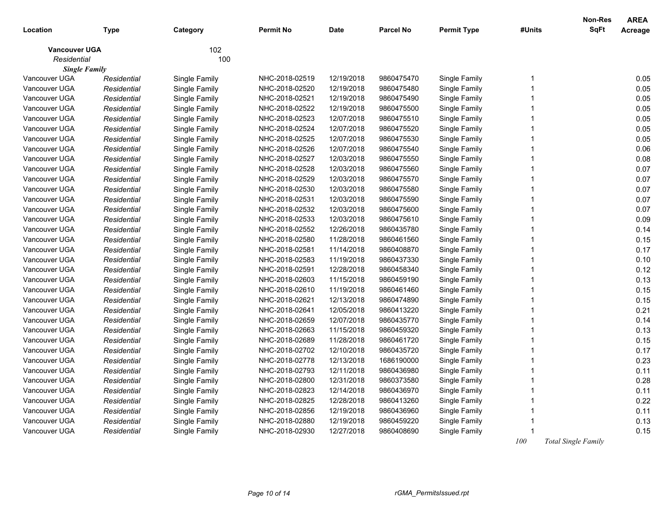| Location                              | <b>Type</b> | Category      | <b>Permit No</b> | <b>Date</b> | <b>Parcel No</b> | <b>Permit Type</b> | #Units         | <b>Non-Res</b><br><b>SqFt</b> | <b>AREA</b><br>Acreage |
|---------------------------------------|-------------|---------------|------------------|-------------|------------------|--------------------|----------------|-------------------------------|------------------------|
| <b>Vancouver UGA</b>                  |             | 102           |                  |             |                  |                    |                |                               |                        |
| Residential                           |             | 100           |                  |             |                  |                    |                |                               |                        |
| <b>Single Family</b><br>Vancouver UGA | Residential | Single Family | NHC-2018-02519   | 12/19/2018  | 9860475470       | Single Family      | -1             |                               | 0.05                   |
| Vancouver UGA                         | Residential | Single Family | NHC-2018-02520   | 12/19/2018  | 9860475480       | Single Family      | 1              |                               | 0.05                   |
| Vancouver UGA                         | Residential | Single Family | NHC-2018-02521   | 12/19/2018  | 9860475490       | Single Family      | $\overline{1}$ |                               | 0.05                   |
| Vancouver UGA                         | Residential | Single Family | NHC-2018-02522   | 12/19/2018  | 9860475500       | Single Family      | 1              |                               | 0.05                   |
| Vancouver UGA                         | Residential | Single Family | NHC-2018-02523   | 12/07/2018  | 9860475510       | Single Family      | $\overline{1}$ |                               | 0.05                   |
| Vancouver UGA                         | Residential | Single Family | NHC-2018-02524   | 12/07/2018  | 9860475520       | Single Family      | 1              |                               | 0.05                   |
| Vancouver UGA                         | Residential | Single Family | NHC-2018-02525   | 12/07/2018  | 9860475530       | Single Family      | $\mathbf 1$    |                               | 0.05                   |
| Vancouver UGA                         | Residential | Single Family | NHC-2018-02526   | 12/07/2018  | 9860475540       | Single Family      | 1              |                               | 0.06                   |
| Vancouver UGA                         | Residential | Single Family | NHC-2018-02527   | 12/03/2018  | 9860475550       | Single Family      | $\overline{1}$ |                               | 0.08                   |
| Vancouver UGA                         | Residential | Single Family | NHC-2018-02528   | 12/03/2018  | 9860475560       | Single Family      | 1              |                               | 0.07                   |
| Vancouver UGA                         | Residential | Single Family | NHC-2018-02529   | 12/03/2018  | 9860475570       | Single Family      | $\overline{1}$ |                               | 0.07                   |
| Vancouver UGA                         | Residential | Single Family | NHC-2018-02530   | 12/03/2018  | 9860475580       | Single Family      | 1              |                               | 0.07                   |
| Vancouver UGA                         | Residential | Single Family | NHC-2018-02531   | 12/03/2018  | 9860475590       | Single Family      | 1              |                               | 0.07                   |
| Vancouver UGA                         | Residential | Single Family | NHC-2018-02532   | 12/03/2018  | 9860475600       | Single Family      | 1              |                               | 0.07                   |
| Vancouver UGA                         | Residential | Single Family | NHC-2018-02533   | 12/03/2018  | 9860475610       | Single Family      | $\overline{1}$ |                               | 0.09                   |
| Vancouver UGA                         | Residential | Single Family | NHC-2018-02552   | 12/26/2018  | 9860435780       | Single Family      | 1              |                               | 0.14                   |
| Vancouver UGA                         | Residential | Single Family | NHC-2018-02580   | 11/28/2018  | 9860461560       | Single Family      | 1              |                               | 0.15                   |
| Vancouver UGA                         | Residential | Single Family | NHC-2018-02581   | 11/14/2018  | 9860408870       | Single Family      | 1              |                               | 0.17                   |
| Vancouver UGA                         | Residential | Single Family | NHC-2018-02583   | 11/19/2018  | 9860437330       | Single Family      | $\overline{1}$ |                               | 0.10                   |
| Vancouver UGA                         | Residential | Single Family | NHC-2018-02591   | 12/28/2018  | 9860458340       | Single Family      | 1              |                               | 0.12                   |
| Vancouver UGA                         | Residential | Single Family | NHC-2018-02603   | 11/15/2018  | 9860459190       | Single Family      | $\overline{1}$ |                               | 0.13                   |
| Vancouver UGA                         | Residential | Single Family | NHC-2018-02610   | 11/19/2018  | 9860461460       | Single Family      | 1              |                               | 0.15                   |
| Vancouver UGA                         | Residential | Single Family | NHC-2018-02621   | 12/13/2018  | 9860474890       | Single Family      | $\mathbf{1}$   |                               | 0.15                   |
| Vancouver UGA                         | Residential | Single Family | NHC-2018-02641   | 12/05/2018  | 9860413220       | Single Family      | $\overline{1}$ |                               | 0.21                   |
| Vancouver UGA                         | Residential | Single Family | NHC-2018-02659   | 12/07/2018  | 9860435770       | Single Family      | $\overline{1}$ |                               | 0.14                   |
| Vancouver UGA                         | Residential | Single Family | NHC-2018-02663   | 11/15/2018  | 9860459320       | Single Family      | 1              |                               | 0.13                   |
| Vancouver UGA                         | Residential | Single Family | NHC-2018-02689   | 11/28/2018  | 9860461720       | Single Family      | $\mathbf 1$    |                               | 0.15                   |
| Vancouver UGA                         | Residential | Single Family | NHC-2018-02702   | 12/10/2018  | 9860435720       | Single Family      | 1              |                               | 0.17                   |
| Vancouver UGA                         | Residential | Single Family | NHC-2018-02778   | 12/13/2018  | 1686190000       | Single Family      | $\overline{1}$ |                               | 0.23                   |
| Vancouver UGA                         | Residential | Single Family | NHC-2018-02793   | 12/11/2018  | 9860436980       | Single Family      | 1              |                               | 0.11                   |
| Vancouver UGA                         | Residential | Single Family | NHC-2018-02800   | 12/31/2018  | 9860373580       | Single Family      | $\overline{1}$ |                               | 0.28                   |
| Vancouver UGA                         | Residential | Single Family | NHC-2018-02823   | 12/14/2018  | 9860436970       | Single Family      | $\overline{1}$ |                               | 0.11                   |
| Vancouver UGA                         | Residential | Single Family | NHC-2018-02825   | 12/28/2018  | 9860413260       | Single Family      | 1              |                               | 0.22                   |
| Vancouver UGA                         | Residential | Single Family | NHC-2018-02856   | 12/19/2018  | 9860436960       | Single Family      | 1              |                               | 0.11                   |
| Vancouver UGA                         | Residential | Single Family | NHC-2018-02880   | 12/19/2018  | 9860459220       | Single Family      | 1              |                               | 0.13                   |
| Vancouver UGA                         | Residential | Single Family | NHC-2018-02930   | 12/27/2018  | 9860408690       | Single Family      |                |                               | 0.15                   |
|                                       |             |               |                  |             |                  |                    | 100            | <b>Total Single Family</b>    |                        |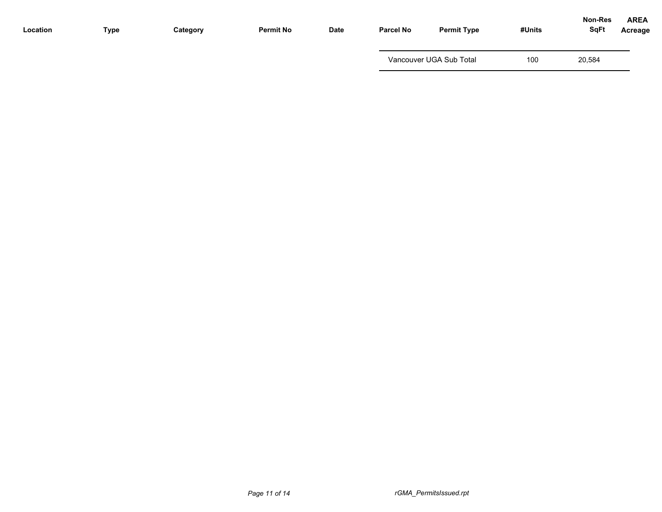| Location | Type | Category | <b>Permit No</b> | Date | <b>Parcel No</b> | <b>Permit Type</b>      | #Units | Non-Res<br><b>SqFt</b> | <b>AREA</b><br>Acreage |
|----------|------|----------|------------------|------|------------------|-------------------------|--------|------------------------|------------------------|
|          |      |          |                  |      |                  | Vancouver UGA Sub Total | 100    | 20,584                 |                        |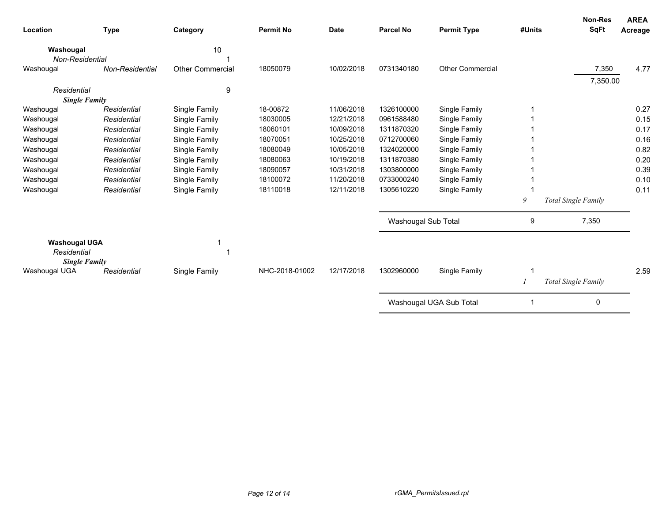| Location                                                    | <b>Type</b>     | Category                | <b>Permit No</b> | <b>Date</b> | <b>Parcel No</b>    | <b>Permit Type</b>      | #Units | Non-Res<br><b>SqFt</b>     | <b>AREA</b><br>Acreage |
|-------------------------------------------------------------|-----------------|-------------------------|------------------|-------------|---------------------|-------------------------|--------|----------------------------|------------------------|
| Washougal                                                   |                 | 10                      |                  |             |                     |                         |        |                            |                        |
| Non-Residential                                             |                 |                         |                  |             |                     |                         |        |                            |                        |
| Washougal                                                   | Non-Residential | <b>Other Commercial</b> | 18050079         | 10/02/2018  | 0731340180          | <b>Other Commercial</b> |        | 7,350                      | 4.77                   |
|                                                             |                 |                         |                  |             |                     |                         |        | 7,350.00                   |                        |
| Residential                                                 |                 | 9                       |                  |             |                     |                         |        |                            |                        |
| <b>Single Family</b>                                        |                 |                         |                  |             |                     |                         |        |                            |                        |
| Washougal                                                   | Residential     | Single Family           | 18-00872         | 11/06/2018  | 1326100000          | Single Family           |        |                            | 0.27                   |
| Washougal                                                   | Residential     | Single Family           | 18030005         | 12/21/2018  | 0961588480          | Single Family           |        |                            | 0.15                   |
| Washougal                                                   | Residential     | Single Family           | 18060101         | 10/09/2018  | 1311870320          | Single Family           |        |                            | 0.17                   |
| Washougal                                                   | Residential     | Single Family           | 18070051         | 10/25/2018  | 0712700060          | Single Family           |        |                            | 0.16                   |
| Washougal                                                   | Residential     | Single Family           | 18080049         | 10/05/2018  | 1324020000          | Single Family           |        |                            | 0.82                   |
| Washougal                                                   | Residential     | Single Family           | 18080063         | 10/19/2018  | 1311870380          | Single Family           |        |                            | 0.20                   |
| Washougal                                                   | Residential     | Single Family           | 18090057         | 10/31/2018  | 1303800000          | Single Family           |        |                            | 0.39                   |
| Washougal                                                   | Residential     | Single Family           | 18100072         | 11/20/2018  | 0733000240          | Single Family           |        |                            | 0.10                   |
| Washougal                                                   | Residential     | Single Family           | 18110018         | 12/11/2018  | 1305610220          | Single Family           |        |                            | 0.11                   |
|                                                             |                 |                         |                  |             |                     |                         | 9      | <b>Total Single Family</b> |                        |
|                                                             |                 |                         |                  |             | Washougal Sub Total |                         | 9      | 7,350                      |                        |
| <b>Washougal UGA</b><br>Residential<br><b>Single Family</b> |                 |                         |                  |             |                     |                         |        |                            |                        |
| Washougal UGA                                               | Residential     | Single Family           | NHC-2018-01002   | 12/17/2018  | 1302960000          | Single Family           | -1     |                            | 2.59                   |
|                                                             |                 |                         |                  |             |                     |                         |        | Total Single Family        |                        |
|                                                             |                 |                         |                  |             |                     | Washougal UGA Sub Total |        | 0                          |                        |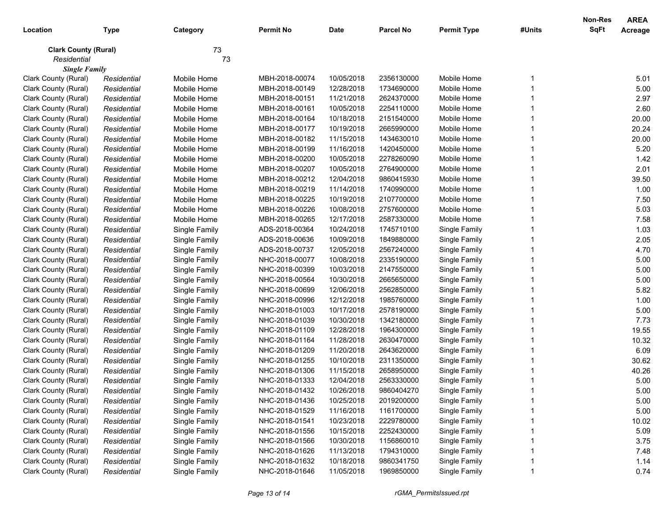|                             |             |               |                  |             |                  |                    |        | <b>Non-Res</b> | <b>AREA</b> |
|-----------------------------|-------------|---------------|------------------|-------------|------------------|--------------------|--------|----------------|-------------|
| Location                    | <b>Type</b> | Category      | <b>Permit No</b> | <b>Date</b> | <b>Parcel No</b> | <b>Permit Type</b> | #Units | SqFt           | Acreage     |
| <b>Clark County (Rural)</b> |             | 73            |                  |             |                  |                    |        |                |             |
| Residential                 |             | 73            |                  |             |                  |                    |        |                |             |
| <b>Single Family</b>        |             |               |                  |             |                  |                    |        |                |             |
| Clark County (Rural)        | Residential | Mobile Home   | MBH-2018-00074   | 10/05/2018  | 2356130000       | Mobile Home        |        |                | 5.01        |
| Clark County (Rural)        | Residential | Mobile Home   | MBH-2018-00149   | 12/28/2018  | 1734690000       | Mobile Home        |        |                | 5.00        |
| Clark County (Rural)        | Residential | Mobile Home   | MBH-2018-00151   | 11/21/2018  | 2624370000       | Mobile Home        |        |                | 2.97        |
| Clark County (Rural)        | Residential | Mobile Home   | MBH-2018-00161   | 10/05/2018  | 2254110000       | Mobile Home        |        |                | 2.60        |
| Clark County (Rural)        | Residential | Mobile Home   | MBH-2018-00164   | 10/18/2018  | 2151540000       | Mobile Home        |        |                | 20.00       |
| Clark County (Rural)        | Residential | Mobile Home   | MBH-2018-00177   | 10/19/2018  | 2665990000       | Mobile Home        |        |                | 20.24       |
| Clark County (Rural)        | Residential | Mobile Home   | MBH-2018-00182   | 11/15/2018  | 1434630010       | Mobile Home        |        |                | 20.00       |
| Clark County (Rural)        | Residential | Mobile Home   | MBH-2018-00199   | 11/16/2018  | 1420450000       | Mobile Home        |        |                | 5.20        |
| Clark County (Rural)        | Residential | Mobile Home   | MBH-2018-00200   | 10/05/2018  | 2278260090       | Mobile Home        |        |                | 1.42        |
| Clark County (Rural)        | Residential | Mobile Home   | MBH-2018-00207   | 10/05/2018  | 2764900000       | Mobile Home        |        |                | 2.01        |
| Clark County (Rural)        | Residential | Mobile Home   | MBH-2018-00212   | 12/04/2018  | 9860415930       | Mobile Home        |        |                | 39.50       |
| Clark County (Rural)        | Residential | Mobile Home   | MBH-2018-00219   | 11/14/2018  | 1740990000       | Mobile Home        |        |                | 1.00        |
| Clark County (Rural)        | Residential | Mobile Home   | MBH-2018-00225   | 10/19/2018  | 2107700000       | Mobile Home        |        |                | 7.50        |
| Clark County (Rural)        | Residential | Mobile Home   | MBH-2018-00226   | 10/08/2018  | 2757600000       | Mobile Home        |        |                | 5.03        |
| Clark County (Rural)        | Residential | Mobile Home   | MBH-2018-00265   | 12/17/2018  | 2587330000       | Mobile Home        |        |                | 7.58        |
| Clark County (Rural)        | Residential | Single Family | ADS-2018-00364   | 10/24/2018  | 1745710100       | Single Family      |        |                | 1.03        |
| Clark County (Rural)        | Residential | Single Family | ADS-2018-00636   | 10/09/2018  | 1849880000       | Single Family      |        |                | 2.05        |
| Clark County (Rural)        | Residential | Single Family | ADS-2018-00737   | 12/05/2018  | 2567240000       | Single Family      |        |                | 4.70        |
| Clark County (Rural)        | Residential | Single Family | NHC-2018-00077   | 10/08/2018  | 2335190000       | Single Family      |        |                | 5.00        |
| Clark County (Rural)        | Residential | Single Family | NHC-2018-00399   | 10/03/2018  | 2147550000       | Single Family      |        |                | 5.00        |
| Clark County (Rural)        | Residential | Single Family | NHC-2018-00564   | 10/30/2018  | 2665650000       | Single Family      |        |                | 5.00        |
| Clark County (Rural)        | Residential | Single Family | NHC-2018-00699   | 12/06/2018  | 2562850000       | Single Family      |        |                | 5.82        |
| Clark County (Rural)        | Residential | Single Family | NHC-2018-00996   | 12/12/2018  | 1985760000       | Single Family      |        |                | 1.00        |
| Clark County (Rural)        | Residential | Single Family | NHC-2018-01003   | 10/17/2018  | 2578190000       | Single Family      |        |                | 5.00        |
| Clark County (Rural)        | Residential | Single Family | NHC-2018-01039   | 10/30/2018  | 1342180000       | Single Family      |        |                | 7.73        |
| Clark County (Rural)        | Residential | Single Family | NHC-2018-01109   | 12/28/2018  | 1964300000       | Single Family      |        |                | 19.55       |
| Clark County (Rural)        | Residential | Single Family | NHC-2018-01164   | 11/28/2018  | 2630470000       | Single Family      |        |                | 10.32       |
| Clark County (Rural)        | Residential | Single Family | NHC-2018-01209   | 11/20/2018  | 2643620000       | Single Family      |        |                | 6.09        |
| Clark County (Rural)        | Residential | Single Family | NHC-2018-01255   | 10/10/2018  | 2311350000       | Single Family      |        |                | 30.62       |
| Clark County (Rural)        | Residential | Single Family | NHC-2018-01306   | 11/15/2018  | 2658950000       | Single Family      |        |                | 40.26       |
| Clark County (Rural)        | Residential | Single Family | NHC-2018-01333   | 12/04/2018  | 2563330000       | Single Family      |        |                | 5.00        |
| Clark County (Rural)        | Residential | Single Family | NHC-2018-01432   | 10/26/2018  | 9860404270       | Single Family      |        |                | 5.00        |
| Clark County (Rural)        | Residential | Single Family | NHC-2018-01436   | 10/25/2018  | 2019200000       | Single Family      |        |                | 5.00        |
| Clark County (Rural)        | Residential | Single Family | NHC-2018-01529   | 11/16/2018  | 1161700000       | Single Family      |        |                | 5.00        |
| Clark County (Rural)        | Residential | Single Family | NHC-2018-01541   | 10/23/2018  | 2229780000       | Single Family      |        |                | 10.02       |
| Clark County (Rural)        | Residential | Single Family | NHC-2018-01556   | 10/15/2018  | 2252430000       | Single Family      |        |                | 5.09        |
| Clark County (Rural)        | Residential | Single Family | NHC-2018-01566   | 10/30/2018  | 1156860010       | Single Family      |        |                | 3.75        |
| Clark County (Rural)        | Residential | Single Family | NHC-2018-01626   | 11/13/2018  | 1794310000       | Single Family      |        |                | 7.48        |
| Clark County (Rural)        | Residential | Single Family | NHC-2018-01632   | 10/18/2018  | 9860341750       | Single Family      |        |                | 1.14        |
| Clark County (Rural)        | Residential | Single Family | NHC-2018-01646   | 11/05/2018  | 1969850000       | Single Family      |        |                | 0.74        |
|                             |             |               |                  |             |                  |                    |        |                |             |